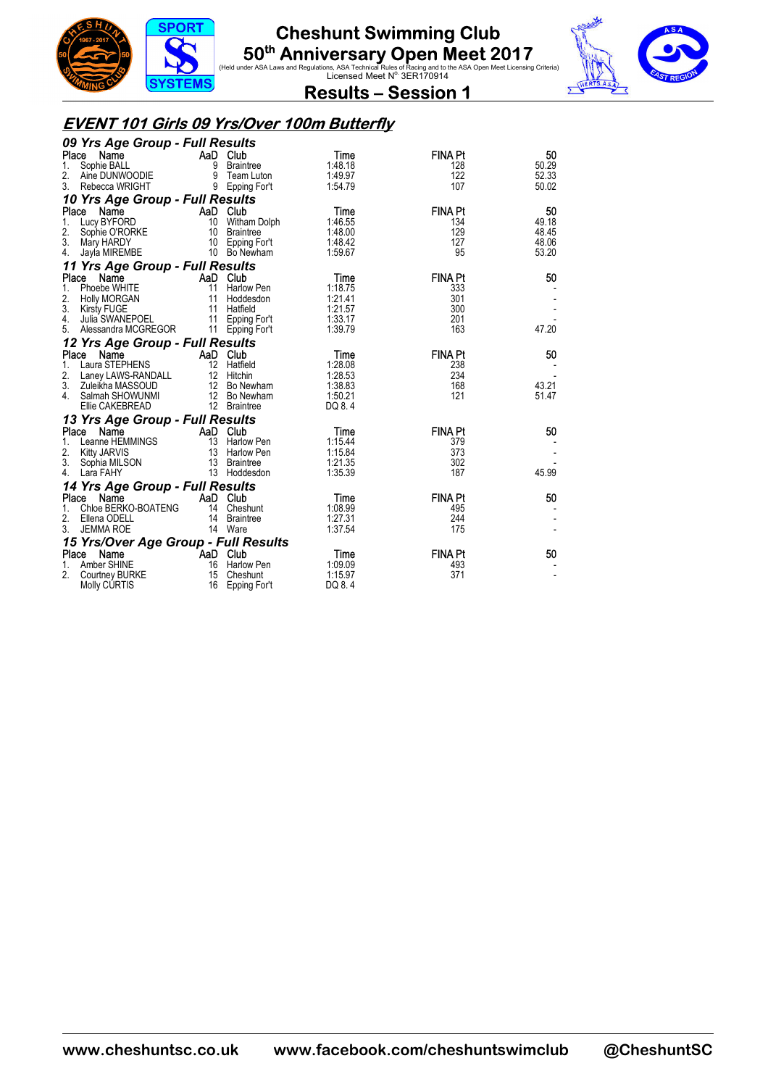



 $\overline{\mathbf{v}}$ 

**Results – Session 1** 

#### **EVENT 101 Girls 09 Yrs/Over 100m Butterfly**

| 09 Yrs Age Group - Full Results      |          |                 |         |                |       |
|--------------------------------------|----------|-----------------|---------|----------------|-------|
| Place<br>Name                        |          | AaD Club        | Time    | <b>FINA Pt</b> | 50    |
| Sophie BALL<br>1.                    |          | 9 Braintree     | 1:48.18 | 128            | 50.29 |
| 2.<br>Aine DUNWOODIE                 | 9        | Team Luton      | 1:49.97 | 122            | 52.33 |
| 3.<br>Rebecca WRIGHT                 |          | 9 Epping For't  | 1:54.79 | 107            | 50.02 |
| 10 Yrs Age Group - Full Results      |          |                 |         |                |       |
| Place<br>Name                        |          | AaD Club        | Time    | <b>FINA Pt</b> | 50    |
| 1.<br>Lucy BYFORD                    |          | 10 Witham Dolph | 1:46.55 | 134            | 49.18 |
| 2.<br>Sophie O'RORKE                 |          | 10 Braintree    | 1:48.00 | 129            | 48.45 |
| 3.<br>Mary HARDY                     |          | 10 Epping For't | 1:48.42 | 127            | 48.06 |
| 4.<br>Jayla MIREMBE                  |          | 10 Bo Newham    | 1:59.67 | 95             | 53.20 |
| 11 Yrs Age Group - Full Results      |          |                 |         |                |       |
| Place<br>Name                        |          | AaD Club        | Time    | <b>FINA Pt</b> | 50    |
| Phoebe WHITE<br>1.                   | 11       | Harlow Pen      | 1:18.75 | 333            |       |
| 2.<br><b>Holly MORGAN</b>            |          | 11 Hoddesdon    | 1:21.41 | 301            |       |
| 3.<br>Kirsty FUGE                    |          | 11 Hatfield     | 1:21.57 | 300            |       |
| 4.<br>Julia SWANEPOEL                |          | 11 Epping For't | 1:33.17 | 201            |       |
| 5. Alessandra MCGREGOR               |          | 11 Epping For't | 1:39.79 | 163            | 47.20 |
| 12 Yrs Age Group - Full Results      |          |                 |         |                |       |
| Place Name                           |          | AaD Club        | Time    | <b>FINA Pt</b> | 50    |
| 1.<br>Laura STEPHENS                 |          | 12 Hatfield     | 1:28.08 | 238            |       |
| 2.<br>Laney LAWS-RANDALL             |          | 12 Hitchin      | 1:28.53 | 234            |       |
| 3.<br>Zuleikha MASSOUD               |          | 12 Bo Newham    | 1:38.83 | 168            | 43.21 |
| 4. Salmah SHOWUNMI                   |          | 12 Bo Newham    | 1:50.21 | 121            | 51.47 |
| Ellie CAKEBREAD                      |          | 12 Braintree    | DQ 8.4  |                |       |
| 13 Yrs Age Group - Full Results      |          |                 |         |                |       |
| Place<br>Name                        |          | AaD Club        | Time    | <b>FINA Pt</b> | 50    |
| Leanne HEMMINGS<br>1.                |          | 13 Harlow Pen   | 1:15.44 | 379            |       |
| 2.<br>Kitty JARVIS                   |          | 13 Harlow Pen   | 1:15.84 | 373            |       |
| 3. Sophia MILSON                     |          | 13 Braintree    | 1:21.35 | 302            |       |
| Lara FAHY<br>4.                      |          | 13 Hoddesdon    | 1:35.39 | 187            | 45.99 |
| 14 Yrs Age Group - Full Results      |          |                 |         |                |       |
| Place Name                           |          | AaD Club        | Time    | <b>FINA Pt</b> | 50    |
| Chloe BERKO-BOATENG<br>1.            |          | 14 Cheshunt     | 1:08.99 | 495            |       |
| 2.<br>Ellena ODELL                   |          | 14 Braintree    | 1:27.31 | 244            |       |
| 3.<br><b>JEMMA ROE</b>               |          | 14 Ware         | 1:37.54 | 175            |       |
| 15 Yrs/Over Age Group - Full Results |          |                 |         |                |       |
| Place Name                           | AaD Club |                 | Time    | <b>FINA Pt</b> | 50    |
| Amber SHINE<br>1.                    |          | 16 Harlow Pen   | 1:09.09 | 493            |       |
| 2.<br>Courtney BURKE                 | 15       | Cheshunt        | 1:15.97 | 371            |       |
| <b>Molly CURTIS</b>                  | 16       | Epping For't    | DQ 8.4  |                |       |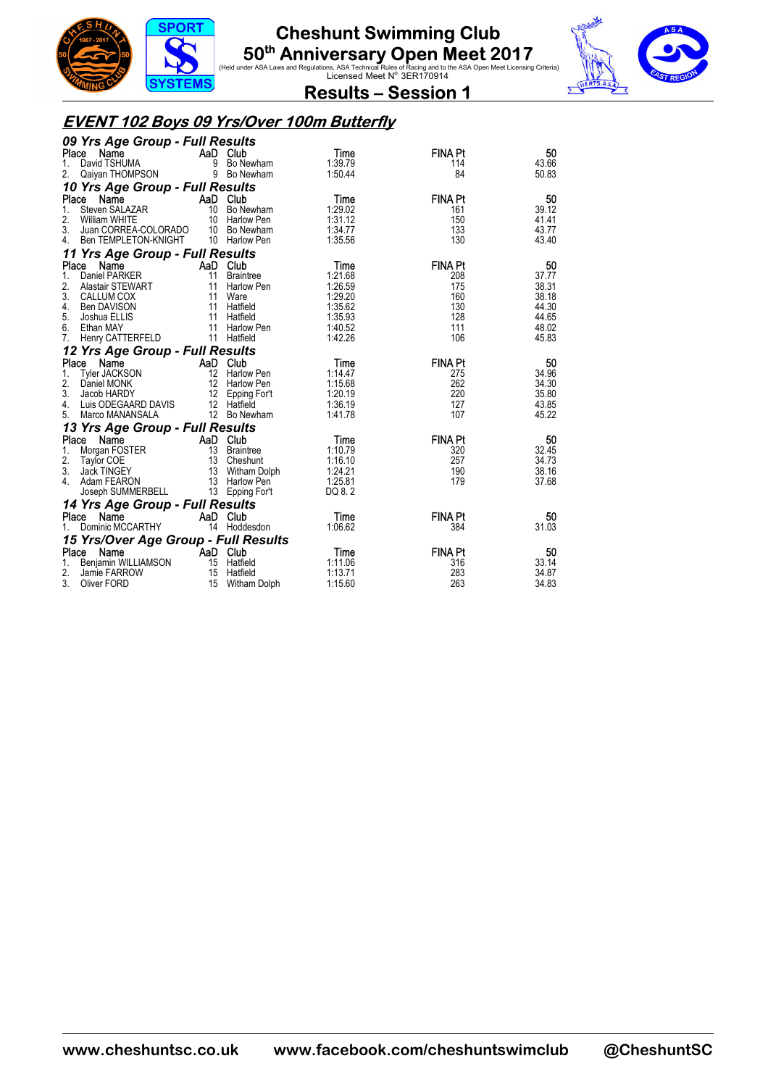





**Results – Session 1** 

#### **EVENT 102 Boys 09 Yrs/Over 100m Butterfly**

|                                              | 09 Yrs Age Group - Full Results |                                  |                    |                       |                |  |  |  |  |
|----------------------------------------------|---------------------------------|----------------------------------|--------------------|-----------------------|----------------|--|--|--|--|
| Place<br>Name                                | AaD Club                        |                                  | Time               | <b>FINA Pt</b>        | 50             |  |  |  |  |
| David TSHUMA<br>1.                           |                                 | 9 Bo Newham                      | 1:39.79            | 114                   | 43.66          |  |  |  |  |
| 2.<br>Qaiyan THOMPSON                        |                                 | 9 Bo Newham                      | 1:50.44            | 84                    | 50.83          |  |  |  |  |
| 10 Yrs Age Group - Full Results              |                                 |                                  |                    |                       |                |  |  |  |  |
| Place<br>Name                                |                                 | AaD Club                         | <b>Time</b>        | <b>FINA Pt</b>        | 50             |  |  |  |  |
| Steven SALAZAR<br>1.                         |                                 | 10 Bo Newham                     | 1:29.02            | 161                   | 39.12          |  |  |  |  |
| 2.<br>William WHITE                          |                                 | 10 Harlow Pen                    | 1:31.12            | 150                   | 41.41          |  |  |  |  |
| 3.<br>Juan CORREA-COLORADO 10 Bo Newham      |                                 |                                  | 1:34.77            | 133                   | 43.77          |  |  |  |  |
| Ben TEMPLETON-KNIGHT<br>4.                   |                                 | 10 Harlow Pen                    | 1:35.56            | 130                   | 43.40          |  |  |  |  |
| 11 Yrs Age Group - Full Results              |                                 |                                  |                    |                       |                |  |  |  |  |
| Place<br>Name                                | AaD Club                        |                                  | Time               | <b>FINA Pt</b>        | 50             |  |  |  |  |
| 1.<br>Daniel PARKER                          | $\frac{11}{2}$                  | <b>Braintree</b>                 | 1:21.68            | 208                   | 37.77          |  |  |  |  |
| 2.<br>Alastair STEWART                       |                                 | 11 Harlow Pen                    | 1:26.59            | 175                   | 38.31          |  |  |  |  |
| 3.<br><b>CALLUM COX</b>                      |                                 | 11 Ware                          | 1:29.20            | 160                   | 38.18          |  |  |  |  |
| 4.<br>Ben DAVISON                            |                                 | 11 Hatfield                      | 1:35.62            | 130                   | 44.30          |  |  |  |  |
| 5.<br>Joshua ELLIS                           |                                 | 11 Hatfield                      | 1:35.93            | 128                   | 44.65          |  |  |  |  |
| 6.<br>Ethan MAY<br>7.                        |                                 | 11 Harlow Pen<br>11 Hatfield     | 1:40.52<br>1:42.26 | 111<br>106            | 48.02<br>45.83 |  |  |  |  |
| Henry CATTERFELD                             |                                 |                                  |                    |                       |                |  |  |  |  |
| 12 Yrs Age Group - Full Results              |                                 |                                  |                    |                       |                |  |  |  |  |
| Place<br>Name                                | AaD Club                        |                                  | Time               | <b>FINA Pt</b>        | 50             |  |  |  |  |
| 1.<br>Tyler JACKSON                          |                                 | 12 Harlow Pen                    | 1:14.47            | 275                   | 34.96          |  |  |  |  |
| 2.<br>Daniel MONK                            |                                 | 12 Harlow Pen                    | 1:15.68            | 262                   | 34.30          |  |  |  |  |
| 3.<br>Jacob HARDY<br>4.                      |                                 | 12 Epping For't<br>12 Hatfield   | 1:20.19<br>1:36.19 | 220<br>127            | 35.80<br>43.85 |  |  |  |  |
| Luis ODEGAARD DAVIS<br>5.<br>Marco MANANSALA |                                 | 12 Bo Newham                     | 1:41.78            | 107                   | 45.22          |  |  |  |  |
|                                              |                                 |                                  |                    |                       |                |  |  |  |  |
| 13 Yrs Age Group - Full Results              |                                 |                                  |                    |                       |                |  |  |  |  |
| Place<br>Name                                | AaD Club                        |                                  | Time               | <b>FINA Pt</b>        | 50             |  |  |  |  |
| 1.<br>Morgan FOSTER<br>2.                    |                                 | 13 Braintree                     | 1:10.79<br>1:16.10 | 320<br>257            | 32.45<br>34.73 |  |  |  |  |
| <b>Taylor COE</b><br>3.<br>Jack TINGEY       |                                 | 13 Cheshunt                      | 1:24.21            | 190                   | 38.16          |  |  |  |  |
| 4.<br>Adam FEARON                            |                                 | 13 Witham Dolph<br>13 Harlow Pen | 1:25.81            | 179                   | 37.68          |  |  |  |  |
| Joseph SUMMERBELL                            |                                 | 13 Epping For't                  | DQ 8.2             |                       |                |  |  |  |  |
|                                              |                                 |                                  |                    |                       |                |  |  |  |  |
| 14 Yrs Age Group - Full Results              | AaD Club                        |                                  |                    |                       |                |  |  |  |  |
| Place Name<br>Dominic MCCARTHY               |                                 | 14 Hoddesdon                     | Time<br>1:06.62    | <b>FINA Pt</b><br>384 | 50<br>31.03    |  |  |  |  |
|                                              |                                 |                                  |                    |                       |                |  |  |  |  |
| 15 Yrs/Over Age Group - Full Results         |                                 |                                  |                    |                       |                |  |  |  |  |
| Place<br>Name                                | AaD Club                        |                                  | Time               | <b>FINA Pt</b>        | 50             |  |  |  |  |
| Benjamin WILLIAMSON<br>1.                    |                                 | 15 Hatfield                      | 1:11.06            | 316                   | 33.14          |  |  |  |  |
| 2.<br>Jamie FARROW                           |                                 | 15 Hatfield                      | 1:13.71            | 283                   | 34.87          |  |  |  |  |
| 3.<br>Oliver FORD                            |                                 | 15 Witham Dolph                  | 1:15.60            | 263                   | 34.83          |  |  |  |  |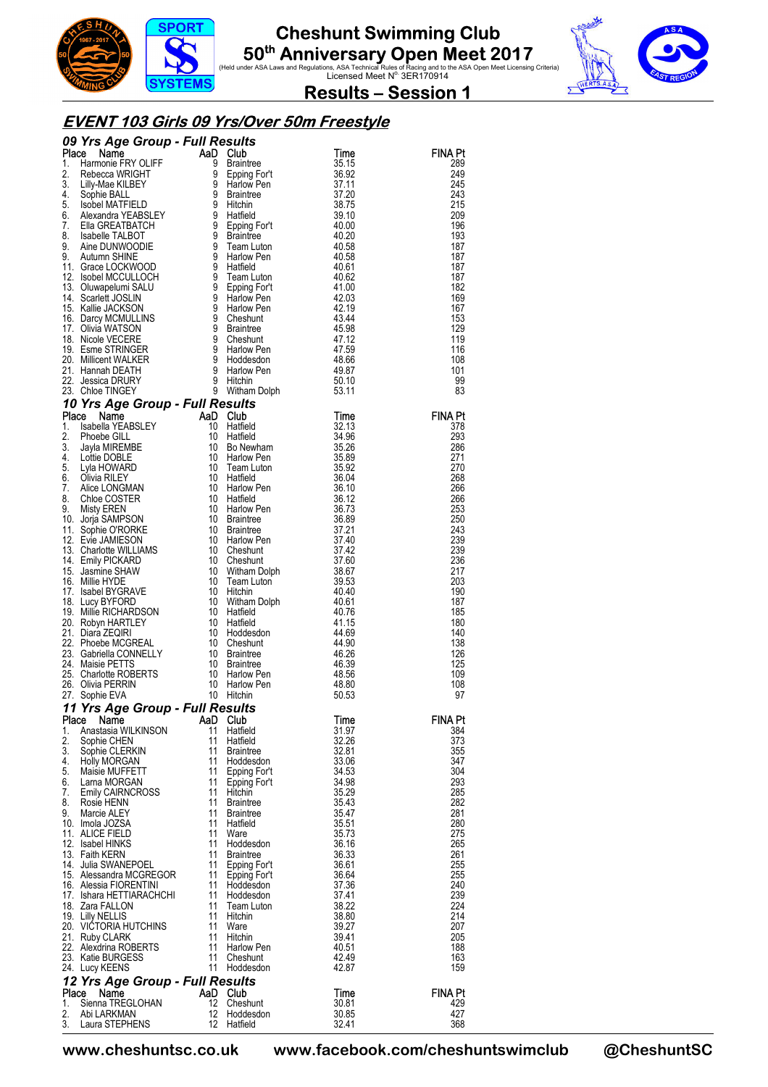





**Results – Session 1** 

#### **EVENT 103 Girls 09 Yrs/Over 50m Freestyle**

|             | <b>09 Yrs Age Group - Full Results<br/> Place Name Care and Cub<br/> 1. Harmonie FRY OLIFF 9 Braintnee<br/> 2. Rebecca WRIGHT 9 Epping Fort<br/> 3. Lilly-Mae KILBEY 9 Hirdow Pen<br/> 4. Sophie BALL<br/> 5. Isobel MATFIELD 9 Hitchin<br/> 6. Alexandra YE</b>                            |                |                                                                |                      |                |
|-------------|---------------------------------------------------------------------------------------------------------------------------------------------------------------------------------------------------------------------------------------------------------------------------------------------|----------------|----------------------------------------------------------------|----------------------|----------------|
|             |                                                                                                                                                                                                                                                                                             |                |                                                                | Time                 | FINA Pt        |
|             |                                                                                                                                                                                                                                                                                             |                |                                                                | 35.15<br>36.92       | 289<br>249     |
|             |                                                                                                                                                                                                                                                                                             |                |                                                                | 37.11                | 245            |
|             |                                                                                                                                                                                                                                                                                             |                |                                                                | 37.20                | 243            |
|             |                                                                                                                                                                                                                                                                                             |                |                                                                | 38.75                | 215            |
|             |                                                                                                                                                                                                                                                                                             |                |                                                                | 39.10                | 209<br>196     |
|             |                                                                                                                                                                                                                                                                                             |                |                                                                | 40.00<br>40.20       | 193            |
|             |                                                                                                                                                                                                                                                                                             |                |                                                                | 40.58                | 187            |
|             |                                                                                                                                                                                                                                                                                             |                |                                                                | 40.58                | 187            |
|             |                                                                                                                                                                                                                                                                                             |                |                                                                | 40.61                | 187            |
|             |                                                                                                                                                                                                                                                                                             |                |                                                                | 40.62<br>41.00       | 187<br>182     |
|             |                                                                                                                                                                                                                                                                                             |                |                                                                | 42.03                | 169            |
|             |                                                                                                                                                                                                                                                                                             |                |                                                                | 42.19                | 167            |
|             |                                                                                                                                                                                                                                                                                             |                |                                                                | 43.44                | 153            |
|             |                                                                                                                                                                                                                                                                                             |                |                                                                | 45.98<br>47.12       | 129<br>119     |
|             |                                                                                                                                                                                                                                                                                             |                |                                                                | 47.59                | 116            |
|             |                                                                                                                                                                                                                                                                                             |                |                                                                | 48.66                | 108            |
|             |                                                                                                                                                                                                                                                                                             |                |                                                                | 49.87                | 101            |
|             |                                                                                                                                                                                                                                                                                             |                |                                                                | 50.10                | 99<br>83       |
|             |                                                                                                                                                                                                                                                                                             |                |                                                                | 53.11                |                |
|             | 10 Yrs Age Group - Full Results<br>23. Chine Investries<br><b>Place Name And Club</b><br><b>Place Name And Club</b><br>1. Isabella YEABSLEY 10 Hatfield<br>2. Phoebe GILL 10 1 Hatfield<br>2. Subset GILL 10 Hatfield<br>5. Lyla HOWARD 10 Team Lution<br>6. Clivia RILEY<br>7. Alice LONGM |                | Witham<br><b>S<i>ults</i></b><br>Club<br>Hatfield<br>''offield | Time                 | <b>FINA Pt</b> |
|             |                                                                                                                                                                                                                                                                                             |                |                                                                | 32.13                | 378            |
|             |                                                                                                                                                                                                                                                                                             |                |                                                                | 34.96                | 293            |
|             |                                                                                                                                                                                                                                                                                             |                |                                                                | 35.26                | 286            |
|             |                                                                                                                                                                                                                                                                                             |                |                                                                | 35.89                | 271            |
|             |                                                                                                                                                                                                                                                                                             |                |                                                                | 35.92<br>36.04       | 270<br>268     |
|             |                                                                                                                                                                                                                                                                                             |                |                                                                | 36.10                | 266            |
|             |                                                                                                                                                                                                                                                                                             |                |                                                                | 36.12                | 266            |
|             |                                                                                                                                                                                                                                                                                             |                |                                                                | 36.73                | 253            |
|             |                                                                                                                                                                                                                                                                                             |                |                                                                | 36.89<br>37.21       | 250<br>243     |
|             |                                                                                                                                                                                                                                                                                             |                |                                                                | 37.40                | 239            |
|             |                                                                                                                                                                                                                                                                                             |                |                                                                | 37.42                | 239            |
|             |                                                                                                                                                                                                                                                                                             |                |                                                                | 37.60                | 236            |
|             |                                                                                                                                                                                                                                                                                             |                |                                                                | 38.67                | 217            |
|             |                                                                                                                                                                                                                                                                                             |                |                                                                | 39.53<br>40.40       | 203<br>190     |
|             |                                                                                                                                                                                                                                                                                             |                |                                                                | 40.61                | 187            |
|             |                                                                                                                                                                                                                                                                                             |                |                                                                | 40.76                | 185            |
|             |                                                                                                                                                                                                                                                                                             |                |                                                                | 41.15                | 180            |
|             |                                                                                                                                                                                                                                                                                             |                |                                                                | 44.69<br>44.90       | 140<br>138     |
|             |                                                                                                                                                                                                                                                                                             |                |                                                                | 46.26                | 126            |
|             |                                                                                                                                                                                                                                                                                             |                |                                                                | 46.39                | 125            |
|             |                                                                                                                                                                                                                                                                                             |                |                                                                | 48.56                | 109            |
|             |                                                                                                                                                                                                                                                                                             |                |                                                                | 48.80<br>50.53       | 108<br>97      |
|             | 11 Yrs Age Group - Full Results                                                                                                                                                                                                                                                             |                |                                                                |                      |                |
| Place       | Name                                                                                                                                                                                                                                                                                        | AaD            | Club                                                           | l Ime                | <b>FINA Pt</b> |
| 1.          | Anastasia WILKINSON                                                                                                                                                                                                                                                                         | 11             | Hatfield                                                       | 31.97                | 384            |
| 2.          | Sophie CHEN                                                                                                                                                                                                                                                                                 | 11             | Hatfield                                                       | 32.26                | 373            |
| 3.          | Sophie CLERKIN                                                                                                                                                                                                                                                                              | 11             | Braintree                                                      | 32.81                | 355            |
| 4.<br>5.    | Holly MORGAN<br>Maisie MUFFETT                                                                                                                                                                                                                                                              | 11<br>11       | Hoddesdon<br>Epping For't                                      | 33.06<br>34.53       | 347<br>304     |
| 6.          | Larna MORGAN                                                                                                                                                                                                                                                                                | 11             | Epping For't                                                   | 34.98                | 293            |
| 7.          | Emily CAIRNCROSS                                                                                                                                                                                                                                                                            | 11             | Hitchin                                                        | 35.29                | 285            |
| 8.          | Rosie HENN                                                                                                                                                                                                                                                                                  | 11             | <b>Braintree</b>                                               | 35.43                | 282            |
| 9.          | Marcie ALEY<br>10. Imola JOZSA                                                                                                                                                                                                                                                              | 11<br>11       | Braintree<br>Hatfield                                          | 35.47<br>35.51       | 281<br>280     |
|             | 11. ALICE FIELD                                                                                                                                                                                                                                                                             | 11             | Ware                                                           | 35.73                | 275            |
|             | 12. Isabel HINKS                                                                                                                                                                                                                                                                            | 11             | Hoddesdon                                                      | 36.16                | 265            |
|             | 13. Faith KERN                                                                                                                                                                                                                                                                              | 11             | Braintree                                                      | 36.33                | 261            |
|             | 14. Julia SWANEPOEL<br>15. Alessandra MCGREGOR                                                                                                                                                                                                                                              | 11<br>11       | Epping For't                                                   | 36.61<br>36.64       | 255<br>255     |
|             | 16. Alessia FIORENTINI                                                                                                                                                                                                                                                                      | 11             | Epping For't<br>Hoddesdon                                      | 37.36                | 240            |
|             | 17. Ishara HETTIARACHCHI                                                                                                                                                                                                                                                                    | 11             | Hoddesdon                                                      | 37.41                | 239            |
|             | 18. Zara FALLON                                                                                                                                                                                                                                                                             | 11             | Team Luton                                                     | 38.22                | 224            |
|             | 19. Lilly NELLIS                                                                                                                                                                                                                                                                            | 11             | Hitchin                                                        | 38.80                | 214            |
|             | 20. VICTORIA HUTCHINS<br>21. Ruby CLARK                                                                                                                                                                                                                                                     | 11<br>11       | Ware<br>Hitchin                                                | 39.27<br>39.41       | 207<br>205     |
|             | 22. Alexdrina ROBERTS                                                                                                                                                                                                                                                                       | 11             | Harlow Pen                                                     | 40.51                | 188            |
|             | 23. Katie BURGESS                                                                                                                                                                                                                                                                           | 11             | Cheshunt                                                       | 42.49                | 163            |
|             | 24. Lucy KEENS                                                                                                                                                                                                                                                                              |                | 11 Hoddesdon                                                   | 42.87                | 159            |
|             | 12 Yrs Age Group - Full Results                                                                                                                                                                                                                                                             |                |                                                                |                      |                |
| Place<br>1. | Name<br>Sienna TREGLOHAN                                                                                                                                                                                                                                                                    | AaD Club<br>12 | Cheshunt                                                       | <b>Time</b><br>30.81 | FINA Pt<br>429 |
| 2.          | Abi LARKMAN                                                                                                                                                                                                                                                                                 | 12             | Hoddesdon                                                      | 30.85                | 427            |
| 3.          | Laura STEPHENS                                                                                                                                                                                                                                                                              |                | 12 Hatfield                                                    | 32.41                | 368            |

**www.cheshuntsc.co.uk www.facebook.com/cheshuntswimclub @CheshuntSC**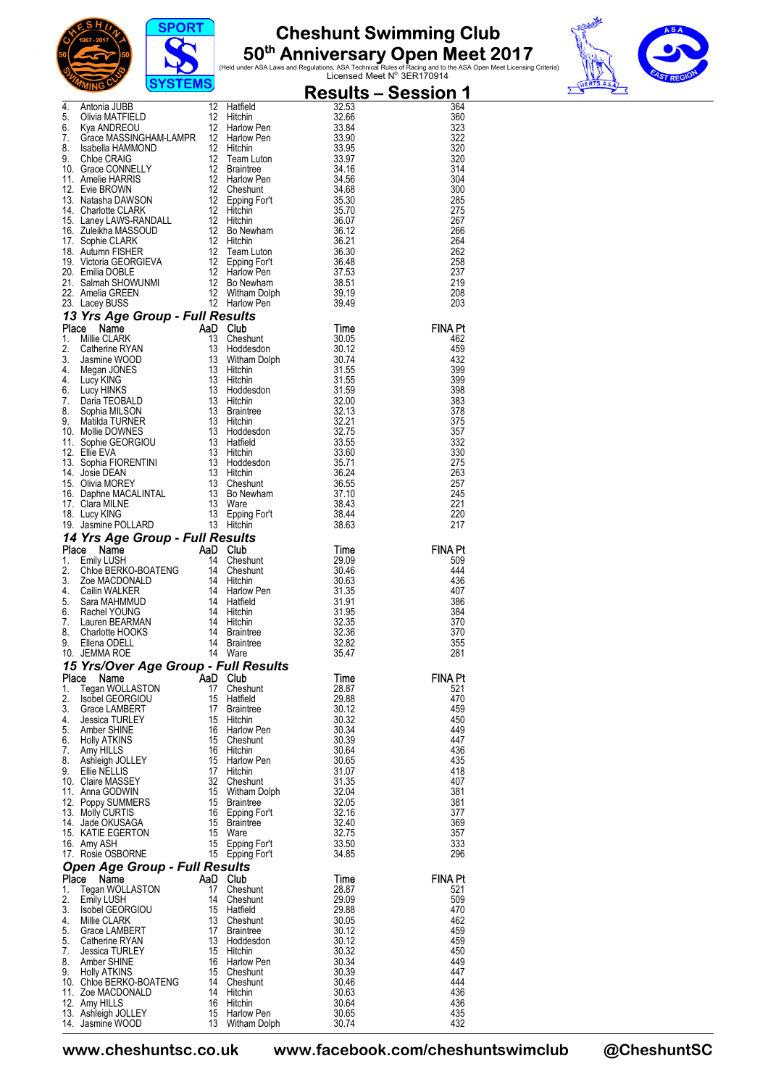





|          | $\sigma$ is ignore                                                                                                                                                                                                                                                                      |                |                                 |                | <u> Results – Session 1</u> |
|----------|-----------------------------------------------------------------------------------------------------------------------------------------------------------------------------------------------------------------------------------------------------------------------------------------|----------------|---------------------------------|----------------|-----------------------------|
|          | <b>Example 12</b><br>14. Antonia JUBB 12 Hatfield 32.53<br>5. Olivia MATFIELD 12 Hitchin 32.53<br>7. Grace MASSINGHAM-LAMPR 12 Harlow Pen<br>8. Isabella HAMMOND 12 Hitchin 33.95<br>8. Isabella HAMMOND 12 Hitchin 33.95<br>9. Choe CRAIG 12 T                                         |                |                                 |                | 364<br>360                  |
|          |                                                                                                                                                                                                                                                                                         |                |                                 |                | 323                         |
|          |                                                                                                                                                                                                                                                                                         |                |                                 |                | 322                         |
|          |                                                                                                                                                                                                                                                                                         |                |                                 |                | 320                         |
|          |                                                                                                                                                                                                                                                                                         |                |                                 |                | 320<br>314                  |
|          |                                                                                                                                                                                                                                                                                         |                |                                 |                | 304                         |
|          |                                                                                                                                                                                                                                                                                         |                |                                 |                | 300                         |
|          |                                                                                                                                                                                                                                                                                         |                |                                 |                | 285<br>275                  |
|          |                                                                                                                                                                                                                                                                                         |                |                                 |                | 267                         |
|          |                                                                                                                                                                                                                                                                                         |                |                                 |                | 266                         |
|          |                                                                                                                                                                                                                                                                                         |                |                                 |                | 264<br>262                  |
|          |                                                                                                                                                                                                                                                                                         |                |                                 |                | 258                         |
|          |                                                                                                                                                                                                                                                                                         |                |                                 |                | 237                         |
|          |                                                                                                                                                                                                                                                                                         |                |                                 |                | 219<br>208                  |
|          |                                                                                                                                                                                                                                                                                         |                |                                 |                | 203                         |
|          | 23. Amelia GREEN<br><b>13 Yrs Age Group - Full Results</b><br><b>13 Yrs Age Group - Full Results</b><br><b>13 Yrs Age Group - Full Results</b><br><b>11 Millie CLARK</b><br><b>14 Millie CLARK</b><br><b>14</b> Millie CLARK<br><b>13 Cheshunt</b><br>13 Obtates on 30.174<br><b>14</b> |                |                                 |                |                             |
|          |                                                                                                                                                                                                                                                                                         |                |                                 |                | FINA Pt<br>462              |
|          |                                                                                                                                                                                                                                                                                         |                |                                 |                | 459                         |
|          |                                                                                                                                                                                                                                                                                         |                |                                 |                | 432                         |
|          |                                                                                                                                                                                                                                                                                         |                |                                 |                | 399<br>399                  |
|          |                                                                                                                                                                                                                                                                                         |                |                                 |                | 398                         |
|          |                                                                                                                                                                                                                                                                                         |                |                                 |                | 383                         |
|          |                                                                                                                                                                                                                                                                                         |                |                                 |                | 378<br>375                  |
|          |                                                                                                                                                                                                                                                                                         |                |                                 |                | 357                         |
|          |                                                                                                                                                                                                                                                                                         |                |                                 |                | 332                         |
|          |                                                                                                                                                                                                                                                                                         |                |                                 |                | 330<br>275                  |
|          |                                                                                                                                                                                                                                                                                         |                |                                 |                | 263                         |
|          |                                                                                                                                                                                                                                                                                         |                |                                 |                | 257                         |
|          |                                                                                                                                                                                                                                                                                         |                |                                 |                | 245<br>221                  |
|          |                                                                                                                                                                                                                                                                                         |                |                                 |                | 220                         |
|          |                                                                                                                                                                                                                                                                                         |                |                                 |                | 217                         |
|          |                                                                                                                                                                                                                                                                                         |                |                                 |                | <b>FINA Pt</b>              |
|          |                                                                                                                                                                                                                                                                                         |                |                                 |                | 509                         |
|          |                                                                                                                                                                                                                                                                                         |                |                                 |                | 444                         |
|          |                                                                                                                                                                                                                                                                                         |                |                                 |                | 436<br>407                  |
|          |                                                                                                                                                                                                                                                                                         |                |                                 |                | 386                         |
|          |                                                                                                                                                                                                                                                                                         |                |                                 |                | 384                         |
|          |                                                                                                                                                                                                                                                                                         |                |                                 |                | 370<br>370                  |
|          |                                                                                                                                                                                                                                                                                         |                |                                 |                | 355                         |
|          |                                                                                                                                                                                                                                                                                         |                |                                 |                | 281                         |
|          | 15 Yrs/Over Age Group - Full Results<br>Place<br>Name                                                                                                                                                                                                                                   | AaD Club       |                                 |                | FINA Pt                     |
| 1.       | Tegan WOLLASTON                                                                                                                                                                                                                                                                         | 17             | Cheshunt                        | Time<br>28.87  | 521                         |
| 2.       | <b>Isobel GEORGIOU</b>                                                                                                                                                                                                                                                                  | 15             | Hatfield                        | 29.88          | 470                         |
| 3.<br>4. | Grace LAMBERT                                                                                                                                                                                                                                                                           | 17<br>15       | Braintree                       | 30.12          | 459                         |
| 5.       | <b>Jessica TURLEY</b><br>Amber SHINE                                                                                                                                                                                                                                                    | 16             | Hitchin<br>Harlow Pen           | 30.32<br>30.34 | 450<br>449                  |
| 6.       | Holly ATKINS                                                                                                                                                                                                                                                                            | 15             | Cheshunt                        | 30.39          | 447                         |
| 7.<br>8. | Amy HILLS<br>Ashleigh JOLLEY                                                                                                                                                                                                                                                            | 16<br>15       | Hitchin<br>Harlow Pen           | 30.64<br>30.65 | 436<br>435                  |
| 9.       | Ellie NELLIS                                                                                                                                                                                                                                                                            |                | 17 Hitchin                      | 31.07          | 418                         |
|          | 10. Claire MASSEY                                                                                                                                                                                                                                                                       | 32             | Cheshunt                        | 31.35          | 407                         |
|          | 11. Anna GODWIN<br>12. Poppy SUMMERS                                                                                                                                                                                                                                                    |                | 15 Witham Dolph<br>15 Braintree | 32.04<br>32.05 | 381<br>381                  |
|          | 13. Molly CURTIS                                                                                                                                                                                                                                                                        | 16             | Epping For't                    | 32.16          | 377                         |
|          | 14. Jade OKUSAGA                                                                                                                                                                                                                                                                        | 15             | Braintree                       | 32.40          | 369                         |
|          | 15. KATIE EGERTON<br>16. Amy ASH                                                                                                                                                                                                                                                        | 15<br>15       | Ware<br>Epping For't            | 32.75<br>33.50 | 357<br>333                  |
|          | 17. Rosie OSBORNE                                                                                                                                                                                                                                                                       |                | 15 Epping For't                 | 34.85          | 296                         |
|          | <b>Open Age Group - Full Results</b>                                                                                                                                                                                                                                                    |                |                                 |                |                             |
| 1.       | Place Name<br>Tegan WOLLASTON                                                                                                                                                                                                                                                           | AaD Club<br>17 | Cheshunt                        | Time<br>28.87  | <b>FINA Pt</b><br>521       |
| 2.       | Emily LUSH                                                                                                                                                                                                                                                                              |                | 14 Cheshunt                     | 29.09          | 509                         |
| 3.       | Isobel GEORGIOU                                                                                                                                                                                                                                                                         |                | 15 Hatfield                     | 29.88          | 470                         |
| 4.<br>5. | Millie CLARK<br>Grace LAMBERT                                                                                                                                                                                                                                                           | 13<br>17       | Cheshunt<br><b>Braintree</b>    | 30.05<br>30.12 | 462<br>459                  |
| 5.       | Catherine RYAN                                                                                                                                                                                                                                                                          | 13             | Hoddesdon                       | 30.12          | 459                         |
| 7.       | Jessica TURLEY                                                                                                                                                                                                                                                                          | 15             | Hitchin                         | 30.32          | 450                         |
| 8.<br>9. | Amber SHINE<br><b>Holly ATKINS</b>                                                                                                                                                                                                                                                      | 16             | Harlow Pen<br>15 Cheshunt       | 30.34<br>30.39 | 449<br>447                  |
|          | 10. Chloe BERKO-BOATENG                                                                                                                                                                                                                                                                 |                | 14 Cheshunt                     | 30.46          | 444                         |
|          | 11. Zoe MACDONALD                                                                                                                                                                                                                                                                       |                | 14 Hitchin                      | 30.63          | 436                         |
|          | 12. Amy HILLS<br>13. Ashleigh JOLLEY                                                                                                                                                                                                                                                    | 15             | 16 Hitchin<br><b>Harlow Pen</b> | 30.64<br>30.65 | 436<br>435                  |
|          | 14. Jasmine WOOD                                                                                                                                                                                                                                                                        |                | 13 Witham Dolph                 | 30.74          | 432                         |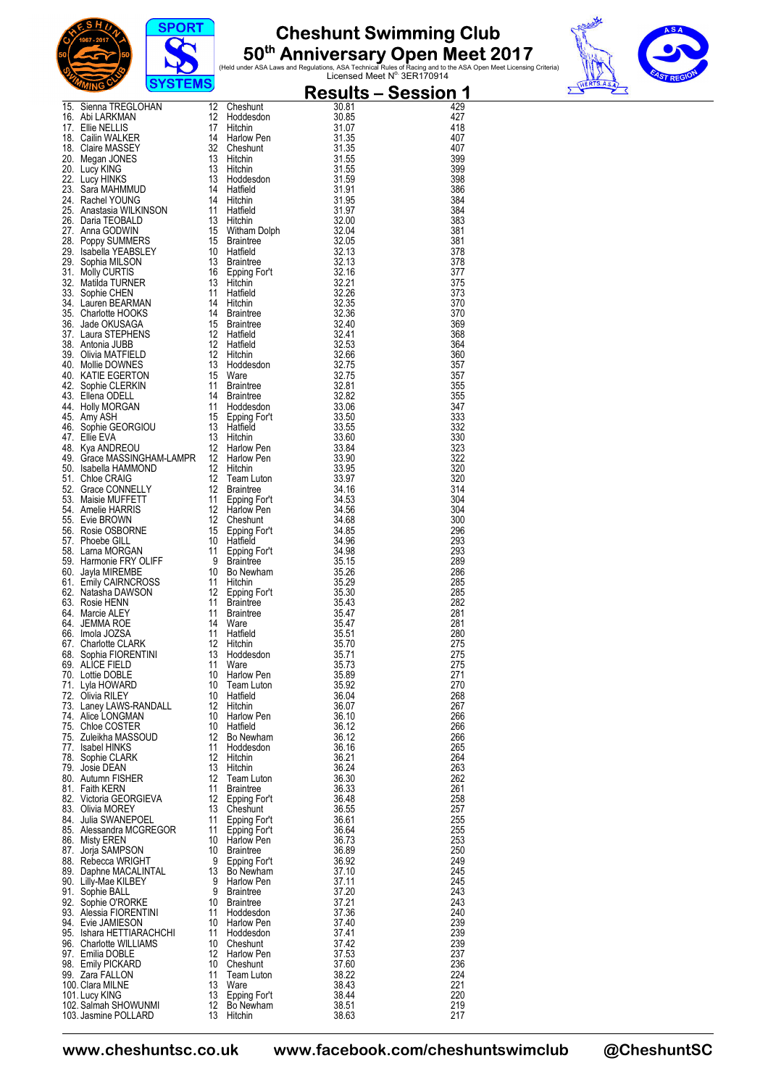





| The State Method of the Home Control (1998)<br>16. Siema TREGLOHAN 12 Cheshunt 30.06<br>16. Abit ARKMAN 12 Cheshunt 30.06<br>17. Ellie NELLIS (17. Hotel Hotel 20. 1998)<br>18. Caline MASSEY 14 Hitchin 31.135<br>20. Megan JONES 13 Hi<br>429<br>427<br>418<br>407<br>407<br>399<br>399<br>398<br>386<br>384<br>384<br>383<br>381<br>381<br>378<br>378<br>377<br>375<br>373<br>370<br>370<br>369<br>368<br>364<br>360<br>357<br>357<br>355<br>355<br>347<br>333<br>332<br>330<br>323<br>322<br>320<br>320<br>314<br>304<br>304<br>300<br>296<br>293<br>293<br>289<br>286<br>285<br>285<br>282<br>281<br>281<br>280<br>275<br>275<br>275<br>67. Charlotte CLARK<br>68. Sophia FIORENTINI 13 Hoddesdon<br>70. Lottie DOBLE<br>71 Lyla HOWARD 10 Team Luton<br>72. Olivia RILEY<br>72. Lyla HOWARD 10 Team Luton<br>73. Laney LAWS-RANDALL<br>72. Chiva RILEY<br>73. Laney LAWS-RANDALL<br>73.<br>271<br>270<br>268<br>267<br>266<br>266<br>266<br>265<br>264<br>263<br>262<br>261<br>258<br>257<br>255<br>255<br>253<br>250<br>249<br>245<br>245<br>243<br>243<br>240<br>239<br>239<br>239<br>237<br>236<br>224<br>221<br>220<br>219<br>217 | $\sigma$ , $\sigma$ , $\sigma$ , $\sigma$ |  | <u> Results – Session 1</u> |
|---------------------------------------------------------------------------------------------------------------------------------------------------------------------------------------------------------------------------------------------------------------------------------------------------------------------------------------------------------------------------------------------------------------------------------------------------------------------------------------------------------------------------------------------------------------------------------------------------------------------------------------------------------------------------------------------------------------------------------------------------------------------------------------------------------------------------------------------------------------------------------------------------------------------------------------------------------------------------------------------------------------------------------------------------------------------------------------------------------------------------------------------|-------------------------------------------|--|-----------------------------|
|                                                                                                                                                                                                                                                                                                                                                                                                                                                                                                                                                                                                                                                                                                                                                                                                                                                                                                                                                                                                                                                                                                                                             |                                           |  |                             |
|                                                                                                                                                                                                                                                                                                                                                                                                                                                                                                                                                                                                                                                                                                                                                                                                                                                                                                                                                                                                                                                                                                                                             |                                           |  |                             |
|                                                                                                                                                                                                                                                                                                                                                                                                                                                                                                                                                                                                                                                                                                                                                                                                                                                                                                                                                                                                                                                                                                                                             |                                           |  |                             |
|                                                                                                                                                                                                                                                                                                                                                                                                                                                                                                                                                                                                                                                                                                                                                                                                                                                                                                                                                                                                                                                                                                                                             |                                           |  |                             |
|                                                                                                                                                                                                                                                                                                                                                                                                                                                                                                                                                                                                                                                                                                                                                                                                                                                                                                                                                                                                                                                                                                                                             |                                           |  |                             |
|                                                                                                                                                                                                                                                                                                                                                                                                                                                                                                                                                                                                                                                                                                                                                                                                                                                                                                                                                                                                                                                                                                                                             |                                           |  |                             |
|                                                                                                                                                                                                                                                                                                                                                                                                                                                                                                                                                                                                                                                                                                                                                                                                                                                                                                                                                                                                                                                                                                                                             |                                           |  |                             |
|                                                                                                                                                                                                                                                                                                                                                                                                                                                                                                                                                                                                                                                                                                                                                                                                                                                                                                                                                                                                                                                                                                                                             |                                           |  |                             |
|                                                                                                                                                                                                                                                                                                                                                                                                                                                                                                                                                                                                                                                                                                                                                                                                                                                                                                                                                                                                                                                                                                                                             |                                           |  |                             |
|                                                                                                                                                                                                                                                                                                                                                                                                                                                                                                                                                                                                                                                                                                                                                                                                                                                                                                                                                                                                                                                                                                                                             |                                           |  |                             |
|                                                                                                                                                                                                                                                                                                                                                                                                                                                                                                                                                                                                                                                                                                                                                                                                                                                                                                                                                                                                                                                                                                                                             |                                           |  |                             |
|                                                                                                                                                                                                                                                                                                                                                                                                                                                                                                                                                                                                                                                                                                                                                                                                                                                                                                                                                                                                                                                                                                                                             |                                           |  |                             |
|                                                                                                                                                                                                                                                                                                                                                                                                                                                                                                                                                                                                                                                                                                                                                                                                                                                                                                                                                                                                                                                                                                                                             |                                           |  |                             |
|                                                                                                                                                                                                                                                                                                                                                                                                                                                                                                                                                                                                                                                                                                                                                                                                                                                                                                                                                                                                                                                                                                                                             |                                           |  |                             |
|                                                                                                                                                                                                                                                                                                                                                                                                                                                                                                                                                                                                                                                                                                                                                                                                                                                                                                                                                                                                                                                                                                                                             |                                           |  |                             |
|                                                                                                                                                                                                                                                                                                                                                                                                                                                                                                                                                                                                                                                                                                                                                                                                                                                                                                                                                                                                                                                                                                                                             |                                           |  |                             |
|                                                                                                                                                                                                                                                                                                                                                                                                                                                                                                                                                                                                                                                                                                                                                                                                                                                                                                                                                                                                                                                                                                                                             |                                           |  |                             |
|                                                                                                                                                                                                                                                                                                                                                                                                                                                                                                                                                                                                                                                                                                                                                                                                                                                                                                                                                                                                                                                                                                                                             |                                           |  |                             |
|                                                                                                                                                                                                                                                                                                                                                                                                                                                                                                                                                                                                                                                                                                                                                                                                                                                                                                                                                                                                                                                                                                                                             |                                           |  |                             |
|                                                                                                                                                                                                                                                                                                                                                                                                                                                                                                                                                                                                                                                                                                                                                                                                                                                                                                                                                                                                                                                                                                                                             |                                           |  |                             |
|                                                                                                                                                                                                                                                                                                                                                                                                                                                                                                                                                                                                                                                                                                                                                                                                                                                                                                                                                                                                                                                                                                                                             |                                           |  |                             |
|                                                                                                                                                                                                                                                                                                                                                                                                                                                                                                                                                                                                                                                                                                                                                                                                                                                                                                                                                                                                                                                                                                                                             |                                           |  |                             |
|                                                                                                                                                                                                                                                                                                                                                                                                                                                                                                                                                                                                                                                                                                                                                                                                                                                                                                                                                                                                                                                                                                                                             |                                           |  |                             |
|                                                                                                                                                                                                                                                                                                                                                                                                                                                                                                                                                                                                                                                                                                                                                                                                                                                                                                                                                                                                                                                                                                                                             |                                           |  |                             |
|                                                                                                                                                                                                                                                                                                                                                                                                                                                                                                                                                                                                                                                                                                                                                                                                                                                                                                                                                                                                                                                                                                                                             |                                           |  |                             |
|                                                                                                                                                                                                                                                                                                                                                                                                                                                                                                                                                                                                                                                                                                                                                                                                                                                                                                                                                                                                                                                                                                                                             |                                           |  |                             |
|                                                                                                                                                                                                                                                                                                                                                                                                                                                                                                                                                                                                                                                                                                                                                                                                                                                                                                                                                                                                                                                                                                                                             |                                           |  |                             |
|                                                                                                                                                                                                                                                                                                                                                                                                                                                                                                                                                                                                                                                                                                                                                                                                                                                                                                                                                                                                                                                                                                                                             |                                           |  |                             |
|                                                                                                                                                                                                                                                                                                                                                                                                                                                                                                                                                                                                                                                                                                                                                                                                                                                                                                                                                                                                                                                                                                                                             |                                           |  |                             |
|                                                                                                                                                                                                                                                                                                                                                                                                                                                                                                                                                                                                                                                                                                                                                                                                                                                                                                                                                                                                                                                                                                                                             |                                           |  |                             |
|                                                                                                                                                                                                                                                                                                                                                                                                                                                                                                                                                                                                                                                                                                                                                                                                                                                                                                                                                                                                                                                                                                                                             |                                           |  |                             |
|                                                                                                                                                                                                                                                                                                                                                                                                                                                                                                                                                                                                                                                                                                                                                                                                                                                                                                                                                                                                                                                                                                                                             |                                           |  |                             |
|                                                                                                                                                                                                                                                                                                                                                                                                                                                                                                                                                                                                                                                                                                                                                                                                                                                                                                                                                                                                                                                                                                                                             |                                           |  |                             |
|                                                                                                                                                                                                                                                                                                                                                                                                                                                                                                                                                                                                                                                                                                                                                                                                                                                                                                                                                                                                                                                                                                                                             |                                           |  |                             |
|                                                                                                                                                                                                                                                                                                                                                                                                                                                                                                                                                                                                                                                                                                                                                                                                                                                                                                                                                                                                                                                                                                                                             |                                           |  |                             |
|                                                                                                                                                                                                                                                                                                                                                                                                                                                                                                                                                                                                                                                                                                                                                                                                                                                                                                                                                                                                                                                                                                                                             |                                           |  |                             |
|                                                                                                                                                                                                                                                                                                                                                                                                                                                                                                                                                                                                                                                                                                                                                                                                                                                                                                                                                                                                                                                                                                                                             |                                           |  |                             |
|                                                                                                                                                                                                                                                                                                                                                                                                                                                                                                                                                                                                                                                                                                                                                                                                                                                                                                                                                                                                                                                                                                                                             |                                           |  |                             |
|                                                                                                                                                                                                                                                                                                                                                                                                                                                                                                                                                                                                                                                                                                                                                                                                                                                                                                                                                                                                                                                                                                                                             |                                           |  |                             |
|                                                                                                                                                                                                                                                                                                                                                                                                                                                                                                                                                                                                                                                                                                                                                                                                                                                                                                                                                                                                                                                                                                                                             |                                           |  |                             |
|                                                                                                                                                                                                                                                                                                                                                                                                                                                                                                                                                                                                                                                                                                                                                                                                                                                                                                                                                                                                                                                                                                                                             |                                           |  |                             |
|                                                                                                                                                                                                                                                                                                                                                                                                                                                                                                                                                                                                                                                                                                                                                                                                                                                                                                                                                                                                                                                                                                                                             |                                           |  |                             |
|                                                                                                                                                                                                                                                                                                                                                                                                                                                                                                                                                                                                                                                                                                                                                                                                                                                                                                                                                                                                                                                                                                                                             |                                           |  |                             |
|                                                                                                                                                                                                                                                                                                                                                                                                                                                                                                                                                                                                                                                                                                                                                                                                                                                                                                                                                                                                                                                                                                                                             |                                           |  |                             |
|                                                                                                                                                                                                                                                                                                                                                                                                                                                                                                                                                                                                                                                                                                                                                                                                                                                                                                                                                                                                                                                                                                                                             |                                           |  |                             |
|                                                                                                                                                                                                                                                                                                                                                                                                                                                                                                                                                                                                                                                                                                                                                                                                                                                                                                                                                                                                                                                                                                                                             |                                           |  |                             |
|                                                                                                                                                                                                                                                                                                                                                                                                                                                                                                                                                                                                                                                                                                                                                                                                                                                                                                                                                                                                                                                                                                                                             |                                           |  |                             |
|                                                                                                                                                                                                                                                                                                                                                                                                                                                                                                                                                                                                                                                                                                                                                                                                                                                                                                                                                                                                                                                                                                                                             |                                           |  |                             |
|                                                                                                                                                                                                                                                                                                                                                                                                                                                                                                                                                                                                                                                                                                                                                                                                                                                                                                                                                                                                                                                                                                                                             |                                           |  |                             |
|                                                                                                                                                                                                                                                                                                                                                                                                                                                                                                                                                                                                                                                                                                                                                                                                                                                                                                                                                                                                                                                                                                                                             |                                           |  |                             |
|                                                                                                                                                                                                                                                                                                                                                                                                                                                                                                                                                                                                                                                                                                                                                                                                                                                                                                                                                                                                                                                                                                                                             |                                           |  |                             |
|                                                                                                                                                                                                                                                                                                                                                                                                                                                                                                                                                                                                                                                                                                                                                                                                                                                                                                                                                                                                                                                                                                                                             |                                           |  |                             |
|                                                                                                                                                                                                                                                                                                                                                                                                                                                                                                                                                                                                                                                                                                                                                                                                                                                                                                                                                                                                                                                                                                                                             |                                           |  |                             |
|                                                                                                                                                                                                                                                                                                                                                                                                                                                                                                                                                                                                                                                                                                                                                                                                                                                                                                                                                                                                                                                                                                                                             |                                           |  |                             |
|                                                                                                                                                                                                                                                                                                                                                                                                                                                                                                                                                                                                                                                                                                                                                                                                                                                                                                                                                                                                                                                                                                                                             |                                           |  |                             |
|                                                                                                                                                                                                                                                                                                                                                                                                                                                                                                                                                                                                                                                                                                                                                                                                                                                                                                                                                                                                                                                                                                                                             |                                           |  |                             |
|                                                                                                                                                                                                                                                                                                                                                                                                                                                                                                                                                                                                                                                                                                                                                                                                                                                                                                                                                                                                                                                                                                                                             |                                           |  |                             |
|                                                                                                                                                                                                                                                                                                                                                                                                                                                                                                                                                                                                                                                                                                                                                                                                                                                                                                                                                                                                                                                                                                                                             |                                           |  |                             |
|                                                                                                                                                                                                                                                                                                                                                                                                                                                                                                                                                                                                                                                                                                                                                                                                                                                                                                                                                                                                                                                                                                                                             |                                           |  |                             |
|                                                                                                                                                                                                                                                                                                                                                                                                                                                                                                                                                                                                                                                                                                                                                                                                                                                                                                                                                                                                                                                                                                                                             |                                           |  |                             |
|                                                                                                                                                                                                                                                                                                                                                                                                                                                                                                                                                                                                                                                                                                                                                                                                                                                                                                                                                                                                                                                                                                                                             |                                           |  |                             |
|                                                                                                                                                                                                                                                                                                                                                                                                                                                                                                                                                                                                                                                                                                                                                                                                                                                                                                                                                                                                                                                                                                                                             |                                           |  |                             |
|                                                                                                                                                                                                                                                                                                                                                                                                                                                                                                                                                                                                                                                                                                                                                                                                                                                                                                                                                                                                                                                                                                                                             |                                           |  |                             |
|                                                                                                                                                                                                                                                                                                                                                                                                                                                                                                                                                                                                                                                                                                                                                                                                                                                                                                                                                                                                                                                                                                                                             |                                           |  |                             |
|                                                                                                                                                                                                                                                                                                                                                                                                                                                                                                                                                                                                                                                                                                                                                                                                                                                                                                                                                                                                                                                                                                                                             |                                           |  |                             |
|                                                                                                                                                                                                                                                                                                                                                                                                                                                                                                                                                                                                                                                                                                                                                                                                                                                                                                                                                                                                                                                                                                                                             |                                           |  |                             |
|                                                                                                                                                                                                                                                                                                                                                                                                                                                                                                                                                                                                                                                                                                                                                                                                                                                                                                                                                                                                                                                                                                                                             |                                           |  |                             |
|                                                                                                                                                                                                                                                                                                                                                                                                                                                                                                                                                                                                                                                                                                                                                                                                                                                                                                                                                                                                                                                                                                                                             |                                           |  |                             |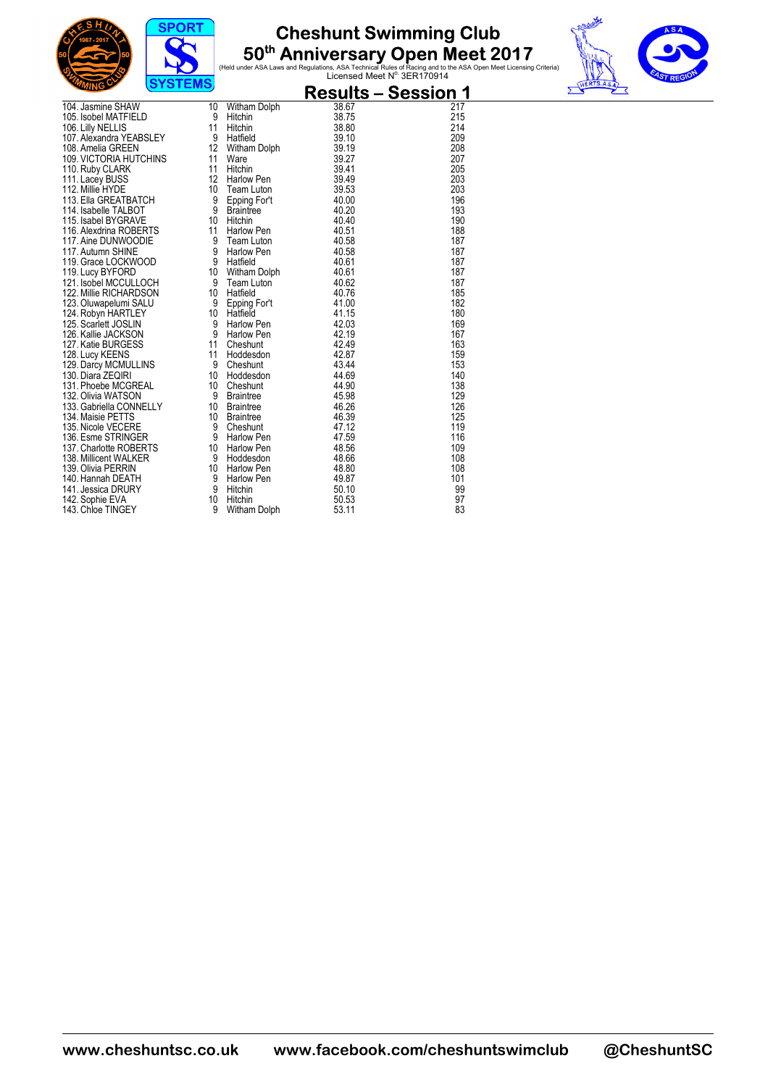





|                                                 | $0.01$ LMO      |                                      |                | <u> Results – Session 1</u> |
|-------------------------------------------------|-----------------|--------------------------------------|----------------|-----------------------------|
| 104. Jasmine SHAW                               | 10              | Witham Dolph                         | 38.67          | 217                         |
| 105. Isobel MATFIELD                            | 9               | Hitchin                              | 38.75          | 215                         |
| 106. Lilly NELLIS                               | 11              | Hitchin                              | 38.80          | 214                         |
| 107. Alexandra YEABSLEY                         | 9               | Hatfield<br>Hattieiu<br>Witham Dolph | 39.10          | 209                         |
| 108. Amelia GREEN                               | 12 <sup>°</sup> |                                      | 39.19          | 208                         |
| 109. VICTORIA HUTCHINS                          | 11              |                                      | 39.27          | 207                         |
| 110. Ruby CLARK                                 | 11              | Hitchin                              | 39.41          | 205                         |
| 111. Lacey BUSS                                 | 12 <sup>°</sup> | Harlow Pen                           | 39.49          | 203                         |
| 112. Millie HYDE                                | 10              | Team Luton                           | 39.53          | 203                         |
| 113. Ella GREATBATCH                            | 9               | Epping For't                         | 40.00          | 196                         |
| 114. Isabelle TALBOT                            | 9               | <b>Braintree</b>                     | 40.20          | 193                         |
| 115. Isabel BYGRAVE                             | 10              | Hitchin                              | 40.40          | 190                         |
| 116. Alexdrina ROBERTS                          | 11              | Harlow Pen                           | 40.51          | 188                         |
| 117. Aine DUNWOODIE                             | 9               | Team Luton                           | 40.58          | 187                         |
| 117. Autumn SHINE                               | 9<br>9          | Harlow Pen                           | 40.58          | 187<br>187                  |
| 119. Grace LOCKWOOD                             |                 | Hatfield                             | 40.61<br>40.61 | 187                         |
| 119. Lucy BYFORD                                | 10<br>9         | Witham Dolph                         | 40.62          | 187                         |
| 121. Isobel MCCULLOCH<br>122. Millie RICHARDSON | 10 <sup>°</sup> | Team Luton<br>Hatfield               | 40.76          | 185                         |
| 123. Oluwapelumi SALU                           | 9               |                                      | 41.00          | 182                         |
| 124. Robyn HARTLEY                              | 10              | Epping For't<br>Hatfield             | 41.15          | 180                         |
| 125. Scarlett JOSLIN                            | 9               |                                      | 42.03          | 169                         |
| 126. Kallie JACKSON                             | 9               | Harlow Pen<br>Harlow Pen             | 42.19          | 167                         |
| 127. Katie BURGESS                              | 11              | Cheshunt                             | 42.49          | 163                         |
| 128. Lucy KEENS                                 | 11              | Hoddesdon                            | 42.87          | 159                         |
| 129. Darcy MCMULLINS                            | 9               | Cheshunt                             | 43.44          | 153                         |
| 130. Diara ZEQIRI                               | 10              | Hoddesdon                            | 44.69          | 140                         |
| 131. Phoebe MCGREAL                             | 10 <sup>°</sup> | Cheshunt                             | 44.90          | 138                         |
| 132. Olivia WATSON                              | 9               | Braintree                            | 45.98          | 129                         |
| 133. Gabriella CONNELLY                         | 10              |                                      | 46.26          | 126                         |
| 134. Maisie PETTS                               | 10 <sup>°</sup> | Braintree<br>Braintree               | 46.39          | 125                         |
| 135. Nicole VECERE                              | 9               | Cheshunt                             | 47.12          | 119                         |
| 136. Esme STRINGER                              | 9               | Harlow Pen                           | 47.59          | 116                         |
| 137. Charlotte ROBERTS                          | 10 <sup>°</sup> | Harlow Pen                           | 48.56          | 109                         |
| 138. Millicent WALKER                           | 9               | Hoddesdon                            | 48.66          | 108                         |
| 139. Olivia PERRIN                              | 10              | Harlow Pen                           | 48.80          | 108                         |
| 140. Hannah DEATH                               | 9               | Harlow Pen                           | 49.87          | 101                         |
| 141. Jessica DRURY                              | 9               | Hitchin                              | 50.10          | 99                          |
| 142. Sophie EVA                                 | 10 <sup>°</sup> | Hitchin                              | 50.53          | 97                          |
| 143. Chloe TINGEY                               | 9               | Witham Dolph                         | 53.11          | 83                          |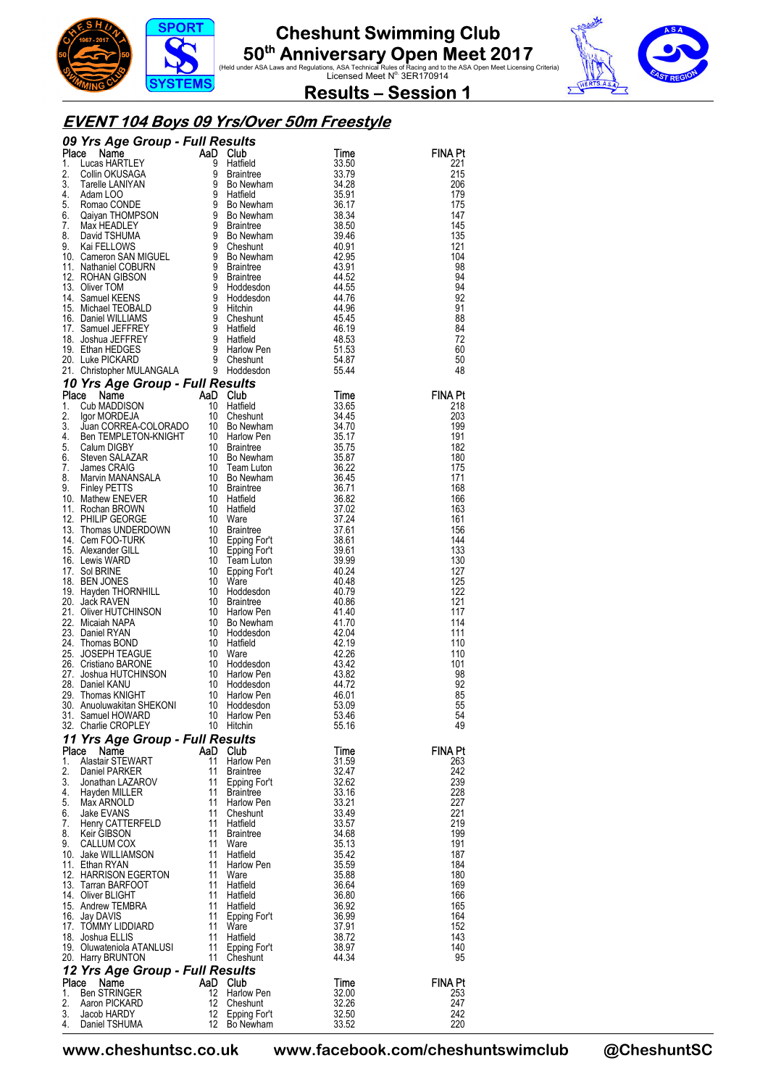





**Results – Session 1** 

#### **EVENT 104 Boys 09 Yrs/Over 50m Freestyle**

|          | <b>O9 Yrs Age Group - Full Results<br/> Place Name<br/> 1. Lucas HARTLEY<br/> 2. Collin OKUSAGA<br/> 3. Tarelle LANIYAN<br/> 4. Adam LOO<br/> 5. Romac CONDE<br/> 5. Romac CONDE<br/> 5. Romac CONDE<br/> 5. Romac CONDE<br/> 7. Max HEADLEY<br/> 8. David TSHUMA<br/> 9. Bo New</b> |                 |                                |                |                |
|----------|--------------------------------------------------------------------------------------------------------------------------------------------------------------------------------------------------------------------------------------------------------------------------------------|-----------------|--------------------------------|----------------|----------------|
|          |                                                                                                                                                                                                                                                                                      |                 |                                | Time           | FINA Pt        |
|          |                                                                                                                                                                                                                                                                                      |                 |                                | 33.50<br>33.79 | 221<br>215     |
|          |                                                                                                                                                                                                                                                                                      |                 |                                | 34.28          | 206            |
|          |                                                                                                                                                                                                                                                                                      |                 |                                | 35.91          | 179            |
|          |                                                                                                                                                                                                                                                                                      |                 |                                | 36.17          | 175            |
|          |                                                                                                                                                                                                                                                                                      |                 |                                | 38.34<br>38.50 | 147<br>145     |
|          |                                                                                                                                                                                                                                                                                      |                 |                                | 39.46          | 135            |
|          |                                                                                                                                                                                                                                                                                      |                 |                                | 40.91          | 121            |
|          |                                                                                                                                                                                                                                                                                      |                 |                                | 42.95          | 104            |
|          |                                                                                                                                                                                                                                                                                      |                 |                                | 43.91<br>44.52 | 98<br>94       |
|          |                                                                                                                                                                                                                                                                                      |                 |                                | 44.55          | 94             |
|          |                                                                                                                                                                                                                                                                                      |                 |                                | 44.76          | 92             |
|          |                                                                                                                                                                                                                                                                                      |                 |                                | 44.96          | 91             |
|          |                                                                                                                                                                                                                                                                                      |                 |                                | 45.45          | 88             |
|          |                                                                                                                                                                                                                                                                                      |                 |                                | 46.19<br>48.53 | 84<br>72       |
|          |                                                                                                                                                                                                                                                                                      |                 |                                | 51.53          | 60             |
|          |                                                                                                                                                                                                                                                                                      |                 |                                | 54.87          | 50             |
|          |                                                                                                                                                                                                                                                                                      |                 |                                | 55.44          | 48             |
|          | 20. Luke PICKARD<br>21. Christopher MULANGALA 9 Cheshunt<br>21. Christopher MULANGALA 9 Holdesdon<br>10 Yrs Age Group - Full Results<br>10 Cheshunt<br>2. Igor MORDEJA 10 Cheshunt<br>4. Ben TEMPLETON-KNIGHT 10 Bolvewham<br>4. Ben TEMPLET                                         |                 |                                |                |                |
|          |                                                                                                                                                                                                                                                                                      |                 |                                | Time           | <b>FINA Pt</b> |
|          |                                                                                                                                                                                                                                                                                      |                 |                                | 33.65<br>34.45 | 218<br>203     |
|          |                                                                                                                                                                                                                                                                                      |                 |                                | 34.70          | 199            |
|          |                                                                                                                                                                                                                                                                                      |                 |                                | 35.17          | 191            |
|          |                                                                                                                                                                                                                                                                                      |                 |                                | 35.75          | 182            |
|          |                                                                                                                                                                                                                                                                                      |                 |                                | 35.87          | 180            |
|          |                                                                                                                                                                                                                                                                                      |                 |                                | 36.22<br>36.45 | 175<br>171     |
|          |                                                                                                                                                                                                                                                                                      |                 |                                | 36.71          | 168            |
|          |                                                                                                                                                                                                                                                                                      |                 |                                | 36.82          | 166            |
|          |                                                                                                                                                                                                                                                                                      |                 |                                | 37.02          | 163            |
|          |                                                                                                                                                                                                                                                                                      |                 |                                | 37.24<br>37.61 | 161<br>156     |
|          |                                                                                                                                                                                                                                                                                      |                 |                                | 38.61          | 144            |
|          |                                                                                                                                                                                                                                                                                      |                 |                                | 39.61          | 133            |
|          |                                                                                                                                                                                                                                                                                      |                 |                                | 39.99          | 130            |
|          |                                                                                                                                                                                                                                                                                      |                 |                                | 40.24          | 127            |
|          |                                                                                                                                                                                                                                                                                      |                 |                                | 40.48<br>40.79 | 125<br>122     |
|          |                                                                                                                                                                                                                                                                                      |                 |                                | 40.86          | 121            |
|          |                                                                                                                                                                                                                                                                                      |                 |                                | 41.40          | 117            |
|          |                                                                                                                                                                                                                                                                                      |                 |                                | 41.70          | 114            |
|          |                                                                                                                                                                                                                                                                                      |                 |                                | 42.04<br>42.19 | 111<br>110     |
|          |                                                                                                                                                                                                                                                                                      |                 |                                | 42.26          | 110            |
|          |                                                                                                                                                                                                                                                                                      |                 |                                | 43.42          | 101            |
|          |                                                                                                                                                                                                                                                                                      |                 |                                | 43.82          | 98             |
|          |                                                                                                                                                                                                                                                                                      |                 |                                | 44.72<br>46.01 | 92<br>85       |
|          |                                                                                                                                                                                                                                                                                      |                 |                                | 53.09          | 55             |
|          | 31. Samuel HOWARD 10 Harlow Pen                                                                                                                                                                                                                                                      |                 |                                | 53.46          | 54             |
|          | 32. Charlie CROPLEY                                                                                                                                                                                                                                                                  |                 | 10 Hitchin                     | 55.16          | 49             |
|          | 11 Yrs Age Group - Full Results                                                                                                                                                                                                                                                      |                 |                                |                |                |
| Place    | Name                                                                                                                                                                                                                                                                                 |                 | AaD Club                       | Time           | <b>FINA Pt</b> |
| 1.<br>2. | Alastair STEWART<br>Daniel PARKER                                                                                                                                                                                                                                                    | 11<br>11        | Harlow Pen<br><b>Braintree</b> | 31.59<br>32.47 | 263<br>242     |
| 3.       | Jonathan LAZAROV                                                                                                                                                                                                                                                                     | 11              | Epping For't                   | 32.62          | 239            |
|          | 4. Hayden MILLER                                                                                                                                                                                                                                                                     | 11              | <b>Braintree</b>               | 33.16          | 228            |
|          | 5. Max ARNOLD                                                                                                                                                                                                                                                                        | 11              | Harlow Pen                     | 33.21          | 227            |
| 6.       | Jake EVANS                                                                                                                                                                                                                                                                           | 11              | 11 Cheshunt<br>Hatfield        | 33.49          | 221<br>219     |
| 8.       | 7. Henry CATTERFELD<br>Keir GIBSON                                                                                                                                                                                                                                                   | 11              | Braintree                      | 33.57<br>34.68 | 199            |
| 9.       | CALLUM COX                                                                                                                                                                                                                                                                           | 11              | Ware                           | 35.13          | 191            |
|          | 10. Jake WILLIAMSON                                                                                                                                                                                                                                                                  | 11              | Hatfield                       | 35.42          | 187            |
|          | 11. Ethan RYAN                                                                                                                                                                                                                                                                       | 11              | Harlow Pen                     | 35.59          | 184            |
|          | 12. HARRISON EGERTON<br>13. Tarran BARFOOT                                                                                                                                                                                                                                           | 11<br>11        | Ware<br>Hatfield               | 35.88<br>36.64 | 180<br>169     |
|          | 14. Oliver BLIGHT                                                                                                                                                                                                                                                                    | 11              | Hatfield                       | 36.80          | 166            |
|          | 15. Andrew TEMBRA                                                                                                                                                                                                                                                                    |                 | 11 Hatfield                    | 36.92          | 165            |
|          | 16. Jay DAVIS                                                                                                                                                                                                                                                                        | 11              | Epping For't                   | 36.99          | 164            |
|          | 17. TOMMY LIDDIARD<br>18. Joshua ELLIS                                                                                                                                                                                                                                               | -11<br>11       | Ware<br>Hatfield               | 37.91<br>38.72 | 152<br>143     |
|          | 19. Oluwateniola ATANLUSI                                                                                                                                                                                                                                                            | $-11$           | Epping For't                   | 38.97          | 140            |
|          | 20. Harry BRUNTON                                                                                                                                                                                                                                                                    |                 | 11 Cheshunt                    | 44.34          | 95             |
|          | 12 Yrs Age Group - Full Results                                                                                                                                                                                                                                                      |                 |                                |                |                |
| Place    | Name                                                                                                                                                                                                                                                                                 |                 | AaD Club                       | Time           | FINA Pt        |
| 2.       | 1. Ben STRINGER<br>Aaron PICKARD                                                                                                                                                                                                                                                     | 12 <sup>°</sup> | Harlow Pen<br>12 Cheshunt      | 32.00<br>32.26 | 253<br>247     |
| 3.       | Jacob HARDY                                                                                                                                                                                                                                                                          |                 | 12 Epping For't                | 32.50          | 242            |
| 4.       | Daniel TSHUMA                                                                                                                                                                                                                                                                        |                 | 12 Bo Newham                   | 33.52          | 220            |

**www.cheshuntsc.co.uk www.facebook.com/cheshuntswimclub @CheshuntSC**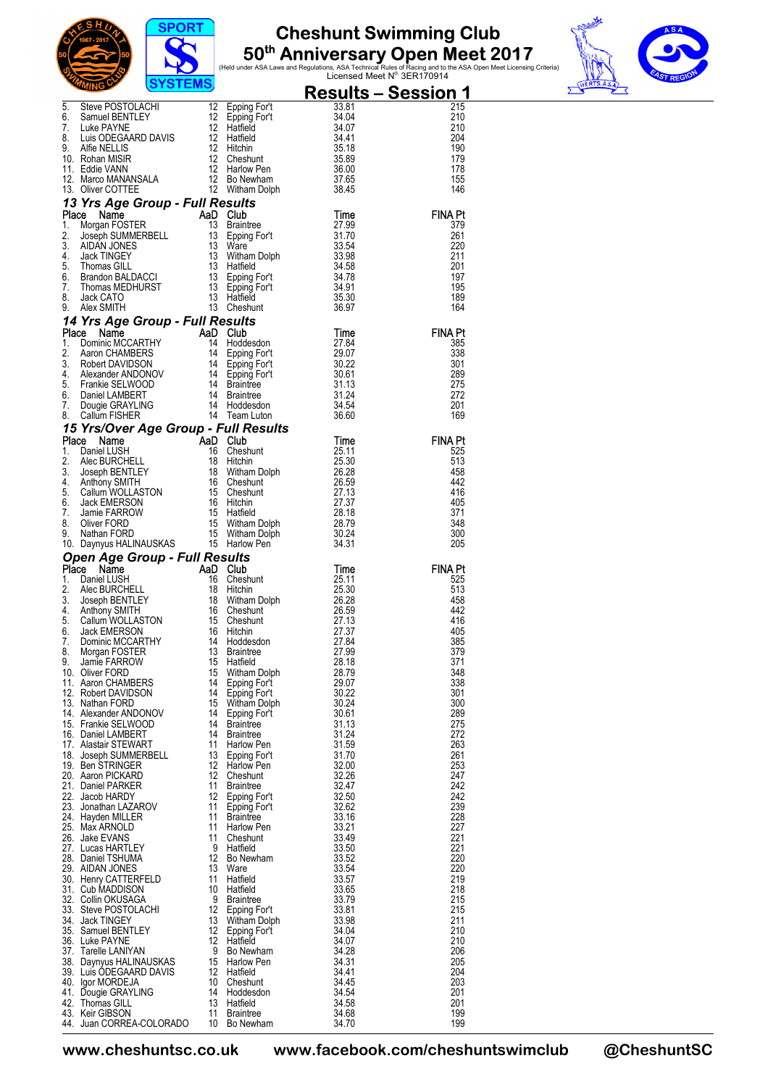





|          | <b>Result</b><br>5. Steve POSTOLACHI 12 Epping Fort 33.81<br>6. Samuel BENTLEY 12 Epping Fort 34.04<br>7. Luke PAYNE 12 Hatfield 34.07<br>7. Luke PAYNE 12 Hatfield 34.07<br>9. Affie NELLIS 12 Hitchin 35.18<br>9. Affie NELLIS 12 Hitchin 35.                       |          |                                     |                | <u> Results – Session 1</u> |
|----------|-----------------------------------------------------------------------------------------------------------------------------------------------------------------------------------------------------------------------------------------------------------------------|----------|-------------------------------------|----------------|-----------------------------|
|          |                                                                                                                                                                                                                                                                       |          |                                     |                | 215                         |
|          |                                                                                                                                                                                                                                                                       |          |                                     |                | 210<br>210                  |
|          |                                                                                                                                                                                                                                                                       |          |                                     |                | 204                         |
|          |                                                                                                                                                                                                                                                                       |          |                                     |                | 190                         |
|          |                                                                                                                                                                                                                                                                       |          |                                     |                | 179                         |
|          |                                                                                                                                                                                                                                                                       |          |                                     |                | 178<br>155                  |
|          |                                                                                                                                                                                                                                                                       |          |                                     |                | 146                         |
|          | 13 Yrs Age Group - Full Results                                                                                                                                                                                                                                       |          |                                     |                |                             |
|          |                                                                                                                                                                                                                                                                       |          |                                     |                | <b>FINA Pt</b>              |
|          |                                                                                                                                                                                                                                                                       |          |                                     |                | 379<br>261                  |
|          |                                                                                                                                                                                                                                                                       |          |                                     |                | 220                         |
|          |                                                                                                                                                                                                                                                                       |          |                                     |                | 211                         |
|          |                                                                                                                                                                                                                                                                       |          |                                     |                | 201<br>197                  |
|          |                                                                                                                                                                                                                                                                       |          |                                     |                | 195                         |
|          |                                                                                                                                                                                                                                                                       |          |                                     |                | 189                         |
|          |                                                                                                                                                                                                                                                                       |          |                                     |                | 164                         |
|          |                                                                                                                                                                                                                                                                       |          |                                     |                | <b>FINA Pt</b>              |
|          |                                                                                                                                                                                                                                                                       |          |                                     |                | 385                         |
|          |                                                                                                                                                                                                                                                                       |          |                                     |                | 338                         |
|          |                                                                                                                                                                                                                                                                       |          |                                     |                | 301<br>289                  |
|          |                                                                                                                                                                                                                                                                       |          |                                     |                | 275                         |
|          |                                                                                                                                                                                                                                                                       |          |                                     |                | 272                         |
|          |                                                                                                                                                                                                                                                                       |          |                                     |                | 201<br>169                  |
|          |                                                                                                                                                                                                                                                                       |          |                                     |                |                             |
|          |                                                                                                                                                                                                                                                                       |          |                                     |                | <b>FINA Pt</b>              |
|          |                                                                                                                                                                                                                                                                       |          |                                     |                | 525                         |
|          |                                                                                                                                                                                                                                                                       |          |                                     |                | 513<br>458                  |
|          |                                                                                                                                                                                                                                                                       |          |                                     |                | 442                         |
|          |                                                                                                                                                                                                                                                                       |          |                                     |                | 416                         |
|          |                                                                                                                                                                                                                                                                       |          |                                     |                | 405<br>371                  |
|          |                                                                                                                                                                                                                                                                       |          |                                     |                | 348                         |
|          |                                                                                                                                                                                                                                                                       |          |                                     |                | 300                         |
|          | 13. Oliver COTTEE 12 Withiam Dolph 38.45<br><b>Flace Name Croup - Full Results Time</b><br>12 Witham Dolph 18<br>1. Morgan FOSTER, 13 Braintee 13 Sping Fort 37.90<br>2. Joseph SUMMERBELL 13 Braintee 13 Ware<br>13 Witham Dolph 38.35.98<br>                        |          |                                     |                | 205                         |
| Place    | Open Age Group - Full Results<br><b>Parameter School Community Community Community Community Community Community Community Community Community Community Community Community Community Community Community Community Community Community Community Community Comm</b> |          |                                     |                | <b>FINA Pt</b>              |
| 1.       |                                                                                                                                                                                                                                                                       |          |                                     |                | 525                         |
| 2.       |                                                                                                                                                                                                                                                                       |          |                                     |                | 513                         |
| 3.<br>4. |                                                                                                                                                                                                                                                                       |          |                                     |                | 458<br>442                  |
| 5.       |                                                                                                                                                                                                                                                                       |          |                                     |                | 416                         |
| 6.<br>7. |                                                                                                                                                                                                                                                                       |          |                                     |                | 405<br>385                  |
| 8.       |                                                                                                                                                                                                                                                                       |          |                                     |                | 379                         |
| g        | Jamie FARROW<br>15 Hatfield                                                                                                                                                                                                                                           |          |                                     | 28.18          | 371                         |
|          | 10. Oliver FORD<br>11. Aaron CHAMBERS                                                                                                                                                                                                                                 | 15<br>14 | <b>Witham Dolph</b><br>Epping For't | 28.79<br>29.07 | 348<br>338                  |
|          | 12. Robert DAVIDSON                                                                                                                                                                                                                                                   | 14       | Epping For't                        | 30.22          | 301                         |
|          | 13. Nathan FORD                                                                                                                                                                                                                                                       | 15       | Witham Dolph                        | 30.24          | 300                         |
|          | 14. Alexander ANDONOV                                                                                                                                                                                                                                                 | 14<br>14 | Epping For't<br><b>Braintree</b>    | 30.61          | 289                         |
|          | 15. Frankie SELWOOD<br>16. Daniel LAMBERT                                                                                                                                                                                                                             | 14       | <b>Braintree</b>                    | 31.13<br>31.24 | 275<br>272                  |
|          | 17. Alastair STEWART                                                                                                                                                                                                                                                  | 11       | Harlow Pen                          | 31.59          | 263                         |
|          | 18. Joseph SUMMERBELL                                                                                                                                                                                                                                                 | 13<br>12 | Epping For't                        | 31.70<br>32.00 | 261<br>253                  |
|          | 19. Ben STRINGER<br>20. Aaron PICKARD                                                                                                                                                                                                                                 | 12       | Harlow Pen<br>Cheshunt              | 32.26          | 247                         |
|          | 21. Daniel PARKER                                                                                                                                                                                                                                                     | 11       | <b>Braintree</b>                    | 32.47          | 242                         |
|          | 22. Jacob HARDY                                                                                                                                                                                                                                                       | 12       | Epping For't                        | 32.50          | 242                         |
|          | 23. Jonathan LAZAROV<br>24. Hayden MILLER                                                                                                                                                                                                                             | 11<br>11 | Epping For't<br><b>Braintree</b>    | 32.62<br>33.16 | 239<br>228                  |
|          | 25. Max ARNOLD                                                                                                                                                                                                                                                        | 11       | Harlow Pen                          | 33.21          | 227                         |
|          | 26. Jake EVANS                                                                                                                                                                                                                                                        | 11       | Cheshunt                            | 33.49          | 221                         |
|          | 27. Lucas HARTLEY<br>28. Daniel TSHUMA                                                                                                                                                                                                                                | 9<br>12  | Hatfield<br>Bo Newham               | 33.50<br>33.52 | 221<br>220                  |
|          | 29. AIDAN JONES                                                                                                                                                                                                                                                       | 13       | Ware                                | 33.54          | 220                         |
|          | 30. Henry CATTERFELD                                                                                                                                                                                                                                                  | 11       | Hatfield                            | 33.57          | 219                         |
|          | 31. Cub MADDISON<br>32. Collin OKUSAGA                                                                                                                                                                                                                                | 10<br>9  | Hatfield<br><b>Braintree</b>        | 33.65<br>33.79 | 218<br>215                  |
|          | 33. Steve POSTOLACHI                                                                                                                                                                                                                                                  | 12       | Epping For't                        | 33.81          | 215                         |
|          | 34. Jack TINGEY                                                                                                                                                                                                                                                       | 13       | Witham Dolph                        | 33.98          | 211                         |
|          | 35. Samuel BENTLEY<br>36. Luke PAYNE                                                                                                                                                                                                                                  | 12<br>12 | Epping For't<br>Hatfield            | 34.04<br>34.07 | 210<br>210                  |
|          | 37. Tarelle LANIYAN                                                                                                                                                                                                                                                   | 9        | Bo Newham                           | 34.28          | 206                         |
|          | 38. Daynyus HALINAUSKAS                                                                                                                                                                                                                                               | 15       | Harlow Pen                          | 34.31          | 205                         |
|          | 39. Luis ODEGAARD DAVIS<br>40. Igor MORDEJA                                                                                                                                                                                                                           | 12<br>10 | Hatfield<br>Cheshunt                | 34.41<br>34.45 | 204<br>203                  |
|          | 41. Dougie GRAYLING                                                                                                                                                                                                                                                   | 14       | Hoddesdon                           | 34.54          | 201                         |
|          | 42. Thomas GILL                                                                                                                                                                                                                                                       | 13       | Hatfield                            | 34.58          | 201                         |
|          | 43. Keir GIBSON<br>44. Juan CORREA-COLORADO                                                                                                                                                                                                                           | 11<br>10 | <b>Braintree</b><br>Bo Newham       | 34.68<br>34.70 | 199<br>199                  |
|          |                                                                                                                                                                                                                                                                       |          |                                     |                |                             |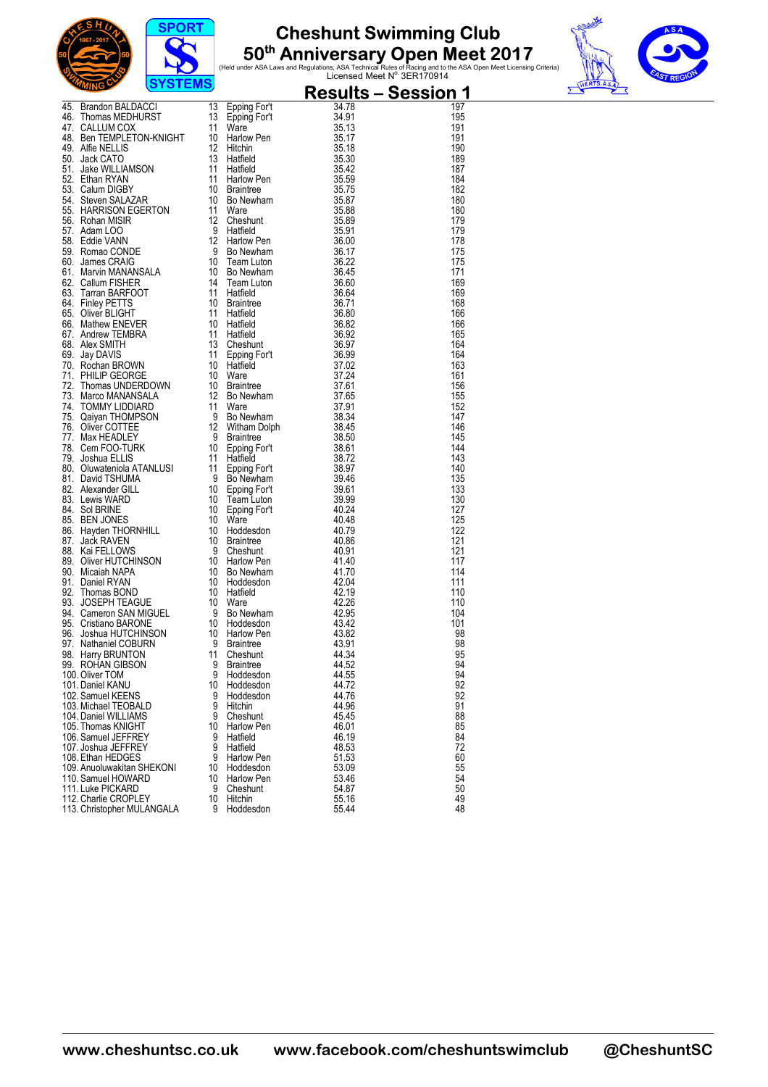





| <b>Examples Mathematics (CALC)</b><br>46: Brandon BALDACCI 13 Epping Fort 34,47<br>46: Tommat MCDHURST<br>46: Tommat MCDHURST<br>46: Tommat MCDHURST<br>11 Epping Fort 34,473<br>46: Thomat MCDHURST<br>51: Jake WILLIAMSON 13 Hardwin Pen<br>51: J |         |                        | <u> Results – Session 1</u> |            |
|-----------------------------------------------------------------------------------------------------------------------------------------------------------------------------------------------------------------------------------------------------|---------|------------------------|-----------------------------|------------|
|                                                                                                                                                                                                                                                     |         |                        |                             | 197        |
|                                                                                                                                                                                                                                                     |         |                        |                             | 195<br>191 |
|                                                                                                                                                                                                                                                     |         |                        |                             | 191        |
|                                                                                                                                                                                                                                                     |         |                        |                             | 190        |
|                                                                                                                                                                                                                                                     |         |                        |                             | 189        |
|                                                                                                                                                                                                                                                     |         |                        |                             | 187<br>184 |
|                                                                                                                                                                                                                                                     |         |                        |                             | 182        |
|                                                                                                                                                                                                                                                     |         |                        |                             | 180        |
|                                                                                                                                                                                                                                                     |         |                        |                             | 180        |
|                                                                                                                                                                                                                                                     |         |                        |                             | 179<br>179 |
|                                                                                                                                                                                                                                                     |         |                        |                             | 178        |
|                                                                                                                                                                                                                                                     |         |                        |                             | 175        |
|                                                                                                                                                                                                                                                     |         |                        |                             | 175        |
|                                                                                                                                                                                                                                                     |         |                        |                             | 171<br>169 |
|                                                                                                                                                                                                                                                     |         |                        |                             | 169        |
|                                                                                                                                                                                                                                                     |         |                        |                             | 168        |
|                                                                                                                                                                                                                                                     |         |                        |                             | 166        |
|                                                                                                                                                                                                                                                     |         |                        |                             | 166        |
|                                                                                                                                                                                                                                                     |         |                        |                             | 165<br>164 |
|                                                                                                                                                                                                                                                     |         |                        |                             | 164        |
|                                                                                                                                                                                                                                                     |         |                        |                             | 163        |
|                                                                                                                                                                                                                                                     |         |                        |                             | 161        |
|                                                                                                                                                                                                                                                     |         |                        |                             | 156<br>155 |
|                                                                                                                                                                                                                                                     |         |                        |                             | 152        |
|                                                                                                                                                                                                                                                     |         |                        |                             | 147        |
|                                                                                                                                                                                                                                                     |         |                        |                             | 146        |
|                                                                                                                                                                                                                                                     |         |                        |                             | 145        |
|                                                                                                                                                                                                                                                     |         |                        |                             | 144<br>143 |
|                                                                                                                                                                                                                                                     |         |                        |                             | 140        |
|                                                                                                                                                                                                                                                     |         |                        |                             | 135        |
|                                                                                                                                                                                                                                                     |         |                        |                             | 133        |
|                                                                                                                                                                                                                                                     |         |                        |                             | 130<br>127 |
|                                                                                                                                                                                                                                                     |         |                        |                             | 125        |
|                                                                                                                                                                                                                                                     |         |                        |                             | 122        |
|                                                                                                                                                                                                                                                     |         |                        |                             | 121        |
|                                                                                                                                                                                                                                                     |         |                        |                             | 121        |
|                                                                                                                                                                                                                                                     |         |                        |                             | 117<br>114 |
|                                                                                                                                                                                                                                                     |         |                        |                             | 111        |
|                                                                                                                                                                                                                                                     |         |                        |                             | 110        |
|                                                                                                                                                                                                                                                     |         |                        |                             | 110        |
|                                                                                                                                                                                                                                                     |         |                        |                             | 104<br>101 |
|                                                                                                                                                                                                                                                     |         |                        |                             | 98         |
|                                                                                                                                                                                                                                                     |         |                        |                             | 98         |
|                                                                                                                                                                                                                                                     |         |                        |                             | 95         |
| 99.   ROHAN GIBSON<br>100. Oliver TOM                                                                                                                                                                                                               | 9       | 9 Braintree            | 44.52                       | 94<br>94   |
| 101. Daniel KANU                                                                                                                                                                                                                                    | 10      | Hoddesdon<br>Hoddesdon | 44.55<br>44.72              | 92         |
| 102. Samuel KEENS                                                                                                                                                                                                                                   | 9       | Hoddesdon              | 44.76                       | 92         |
| 103. Michael TEOBALD                                                                                                                                                                                                                                | 9       | Hitchin                | 44.96                       | 91         |
| 104. Daniel WILLIAMS                                                                                                                                                                                                                                | 9       | Cheshunt               | 45.45                       | 88         |
| 105. Thomas KNIGHT<br>106. Samuel JEFFREY                                                                                                                                                                                                           | 10<br>9 | Harlow Pen<br>Hatfield | 46.01<br>46.19              | 85<br>84   |
| 107. Joshua JEFFREY                                                                                                                                                                                                                                 | 9       | Hatfield               | 48.53                       | 72         |
| 108. Ethan HEDGES                                                                                                                                                                                                                                   | 9       | Harlow Pen             | 51.53                       | 60         |
| 109. Anuoluwakitan SHEKONI                                                                                                                                                                                                                          | 10      | Hoddesdon              | 53.09                       | 55         |
| 110. Samuel HOWARD<br>111. Luke PICKARD                                                                                                                                                                                                             | 10      | Harlow Pen             | 53.46                       | 54         |
| 112. Charlie CROPLEY                                                                                                                                                                                                                                | 9<br>10 | Cheshunt<br>Hitchin    | 54.87<br>55.16              | 50<br>49   |
| 113. Christopher MULANGALA                                                                                                                                                                                                                          | 9       | Hoddesdon              | 55.44                       | 48         |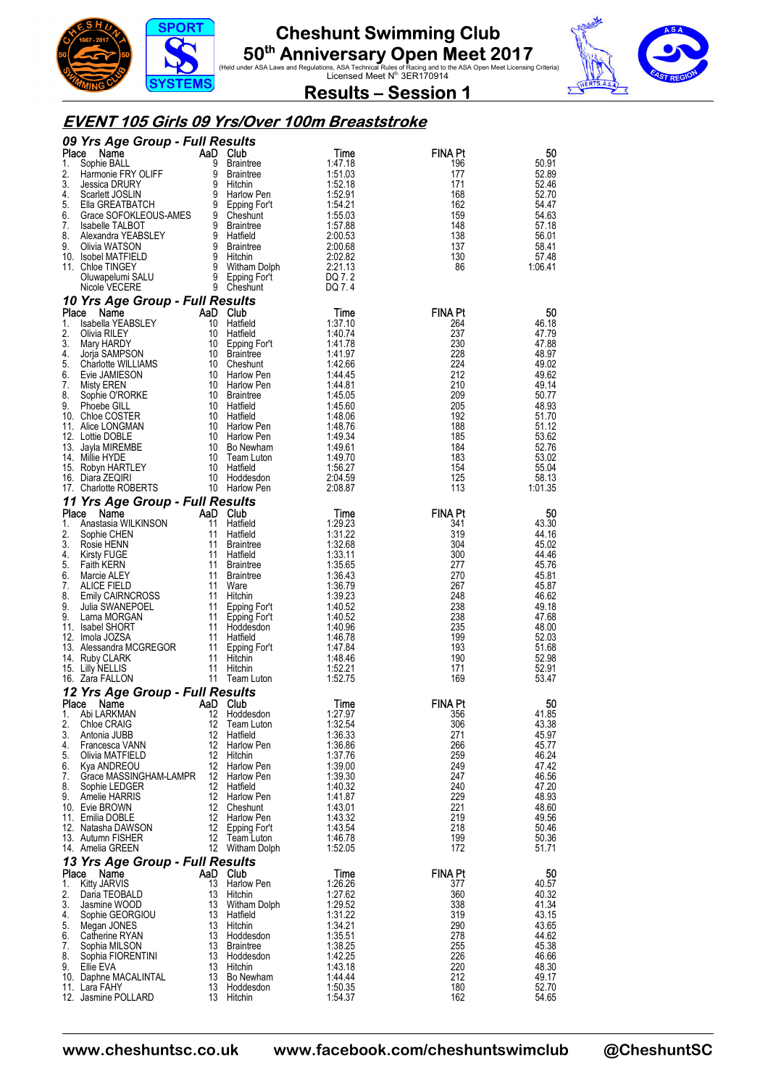





**Results – Session 1** 

#### **EVENT 105 Girls 09 Yrs/Over 100m Breaststroke**

|          | 09 Yrs Age Group - Full Results                 |    |                                  |                    |                |                  |
|----------|-------------------------------------------------|----|----------------------------------|--------------------|----------------|------------------|
| Place    | Name                                            | 9  | AaD Club                         | Time               | FINA Pt        | 50<br>50.91      |
| 1.<br>2. | Sophie BALL<br>Harmonie FRY OLIFF               | 9  | <b>Braintree</b><br>Braintree    | 1:47.18<br>1:51.03 | 196<br>177     | 52.89            |
| 3.       | Jessica DRURY                                   | 9  | Hitchin                          | 1:52.18            | 171            | 52.46            |
| 4.       | Scarlett JOSLIN                                 | 9  | Harlow Pen                       | 1:52.91            | 168            | 52.70            |
| 5.       | Ella GREATBATCH                                 |    | 9 Epping For't                   | 1:54.21            | 162            | 54.47            |
| 6.<br>7. | Grace SOFOKLEOUS-AMES<br><b>Isabelle TALBOT</b> |    | 9 Cheshunt<br>9 Braintree        | 1:55.03<br>1:57.88 | 159<br>148     | 54.63<br>57.18   |
| 8.       | Alexandra YEABSLEY                              |    | 9 Hatfield                       | 2:00.53            | 138            | 56.01            |
| 9.       | Olivia WATSON                                   |    | 9 Braintree                      | 2:00.68            | 137            | 58.41            |
|          | 10. Isobel MATFIELD                             |    | 9 Hitchin                        | 2:02.82            | 130            | 57.48            |
|          | 11. Chloe TINGEY                                |    | 9 Witham Dolph                   | 2:21.13            | 86             | 1:06.41          |
|          | Oluwapelumi SALU<br>Nicole VECERE               |    | 9 Epping For't<br>9 Cheshunt     | DQ 7.2<br>DQ 7.4   |                |                  |
|          | 10 Yrs Age Group - Full Results                 |    |                                  |                    |                |                  |
| Place    | Name                                            |    | AaD Club                         | Time               | <b>FINA Pt</b> | 50               |
| 1.       | Isabella YEABSLEY                               | 10 | Hatfield                         | 1:37.10            | 264            | 46.18            |
| 2.       | Olivia RILEY                                    | 10 | Hatfield                         | 1:40.74            | 237            | 47.79            |
| 3.<br>4. | Mary HARDY<br>Jorja SAMPSON                     |    | 10 Epping For't<br>10 Braintree  | 1:41.78<br>1:41.97 | 230<br>228     | 47.88<br>48.97   |
| 5.       | <b>Charlotte WILLIAMS</b>                       |    | 10 Cheshunt                      | 1:42.66            | 224            | 49.02            |
| 6.       | Evie JAMIESON                                   |    | 10 Harlow Pen                    | 1:44.45            | 212            | 49.62            |
| 7.       | Misty EREN                                      |    | 10 Harlow Pen                    | 1.44.81            | 210            | 49.14            |
| 8.       | Sophie O'RORKE                                  |    | 10 Braintree                     | 1:45.05            | 209            | 50.77            |
| 9.       | <b>Phoebe GILL</b><br>10. Chloe COSTER          |    | 10 Hatfield<br>10 Hatfield       | 1.45.60<br>1.48.06 | 205<br>192     | 48.93<br>51.70   |
|          | 11. Alice LONGMAN                               |    | 10 Harlow Pen                    | 1:48.76            | 188            | 51.12            |
|          | 12. Lottie DOBLE                                |    | 10 Harlow Pen                    | 1.49.34            | 185            | 53.62            |
|          | 13. Jayla MIREMBE                               |    | 10 Bo Newham                     | 1:49.61            | 184            | 52.76            |
|          | 14. Millie HYDE                                 |    | 10 Team Luton                    | 1.49.70            | 183            | 53.02            |
|          | 15. Robyn HARTLEY                               |    | 10 Hatfield                      | 1:56.27            | 154            | 55.04            |
|          | 16. Diara ZEQIRI<br>17. Charlotte ROBERTS       |    | 10 Hoddesdon<br>10 Harlow Pen    | 2:04.59<br>2:08.87 | 125<br>113     | 58.13<br>1:01.35 |
|          | 11 Yrs Age Group - Full Results                 |    |                                  |                    |                |                  |
| Place    | Name                                            |    | AaD Club                         | Time               | <b>FINA Pt</b> | 50               |
| 1.       | Anastasia WILKINSON                             | 11 | Hatfield                         | 1:29.23            | 341            | 43.30            |
| 2.       | Sophie CHEN                                     | 11 | Hatfield                         | 1:31.22            | 319            | 44.16            |
| 3.       | Rosie HENN                                      |    | 11 Braintree                     | 1:32.68            | 304            | 45.02            |
| 4.<br>5. | <b>Kirsty FUGE</b><br><b>Faith KERN</b>         | 11 | Hatfield<br>11 Braintree         | 1:33.11<br>1:35.65 | 300<br>277     | 44.46<br>45.76   |
| 6.       | Marcie ALEY                                     |    | 11 Braintree                     | 1:36.43            | 270            | 45.81            |
| 7.       | ALICE FIELD                                     | 11 | Ware                             | 1:36.79            | 267            | 45.87            |
| 8.       | <b>Emily CAIRNCROSS</b>                         |    | 11 Hitchin                       | 1:39.23            | 248            | 46.62            |
| 9.       | Julia SWANEPOEL                                 |    | 11 Epping For't                  | 1:40.52            | 238            | 49.18            |
| 9.       | Larna MORGAN<br>11. Isabel SHORT                |    | 11 Epping For't<br>11 Hoddesdon  | 1:40.52<br>1:40.96 | 238<br>235     | 47.68<br>48.00   |
|          | 12. Imola JOZSA                                 |    | 11 Hatfield                      | 1:46.78            | 199            | 52.03            |
|          | 13. Alessandra MCGREGOR                         | 11 | Epping For't                     | 1:47.84            | 193            | 51.68            |
|          | 14. Ruby CLARK                                  |    | 11 Hitchin                       | 1:48.46            | 190            | 52.98            |
|          | 15. Lilly NELLIS                                |    | 11 Hitchin                       | 1:52.21            | 171            | 52.91            |
|          | 16. Zara FALLON                                 |    | 11 Team Luton                    | 1:52.75            | 169            | 53.47            |
| Place    | 12 Yrs Age Group - Full Results<br>Name         |    | AaD Club                         | Time               | <b>FINA Pt</b> | 50               |
|          | 1. Abi LARKMAN                                  |    | 12 Hoddesdon                     | 1:27.97            | 356            | 41.85            |
| 2.       | Chloe CRAIG                                     | 12 | Team Luton                       | 1:32.54            | 306            | 43.38            |
| 3.       | Antonia JUBB                                    | 12 | Hatfield                         | 1:36.33            | 271            | 45.97            |
| 4.       | Francesca VANN                                  |    | 12 Harlow Pen                    | 1:36.86            | 266            | 45.77            |
| 5.<br>6. | Olivia MATFIELD<br>Kya ANDREOU                  |    | 12 Hitchin<br>12 Harlow Pen      | 1:37.76<br>1:39.00 | 259<br>249     | 46.24<br>47.42   |
| 7.       | Grace MASSINGHAM-LAMPR                          |    | 12 Harlow Pen                    | 1:39.30            | 247            | 46.56            |
| 8.       | Sophie LEDGER                                   |    | 12 Hatfield                      | 1:40.32            | 240            | 47.20            |
| 9.       | Amelie HARRIS                                   |    | 12 Harlow Pen                    | 1:41.87            | 229            | 48.93            |
|          | 10. Evie BROWN                                  |    | 12 Cheshunt                      | 1:43.01            | 221            | 48.60            |
|          | 11. Emilia DOBLE                                |    | 12 Harlow Pen                    | 1:43.32            | 219            | 49.56<br>50.46   |
|          | 12. Natasha DAWSON<br>13. Autumn FISHER         |    | 12 Epping For't<br>12 Team Luton | 1:43.54<br>1:46.78 | 218<br>199     | 50.36            |
|          | 14. Amelia GREEN                                |    | 12 Witham Dolph                  | 1:52.05            | 172            | 51.71            |
|          | 13 Yrs Age Group - Full Results                 |    |                                  |                    |                |                  |
| Place    | Name                                            |    | AaD Club                         | Time               | <b>FINA Pt</b> | 50               |
| 1.       | Kitty JARVIS                                    | 13 | <b>Harlow Pen</b>                | 1:26.26            | 377            | 40.57            |
| 2.       | Daria TEOBALD                                   | 13 | Hitchin                          | 1:27.62            | 360            | 40.32            |
| 3.<br>4. | Jasmine WOOD<br>Sophie GEORGIOU                 | 13 | Witham Dolph<br>13 Hatfield      | 1:29.52<br>1:31.22 | 338<br>319     | 41.34<br>43.15   |
| 5.       | Megan JONES                                     | 13 | Hitchin                          | 1:34.21            | 290            | 43.65            |
| 6.       | Catherine RYAN                                  | 13 | Hoddesdon                        | 1:35.51            | 278            | 44.62            |
| 7.       | Sophia MILSON                                   |    | 13 Braintree                     | 1:38.25            | 255            | 45.38            |
| 8.       | Sophia FIORENTINI                               |    | 13 Hoddesdon                     | 1:42.25            | 226            | 46.66            |
| 9.       | Ellie EVA<br>10. Daphne MACALINTAL              | 13 | Hitchin<br>13 Bo Newham          | 1:43.18<br>1:44.44 | 220<br>212     | 48.30<br>49.17   |
|          | 11. Lara FAHY                                   |    | 13 Hoddesdon                     | 1:50.35            | 180            | 52.70            |
|          | 12. Jasmine POLLARD                             |    | 13 Hitchin                       | 1:54.37            | 162            | 54.65            |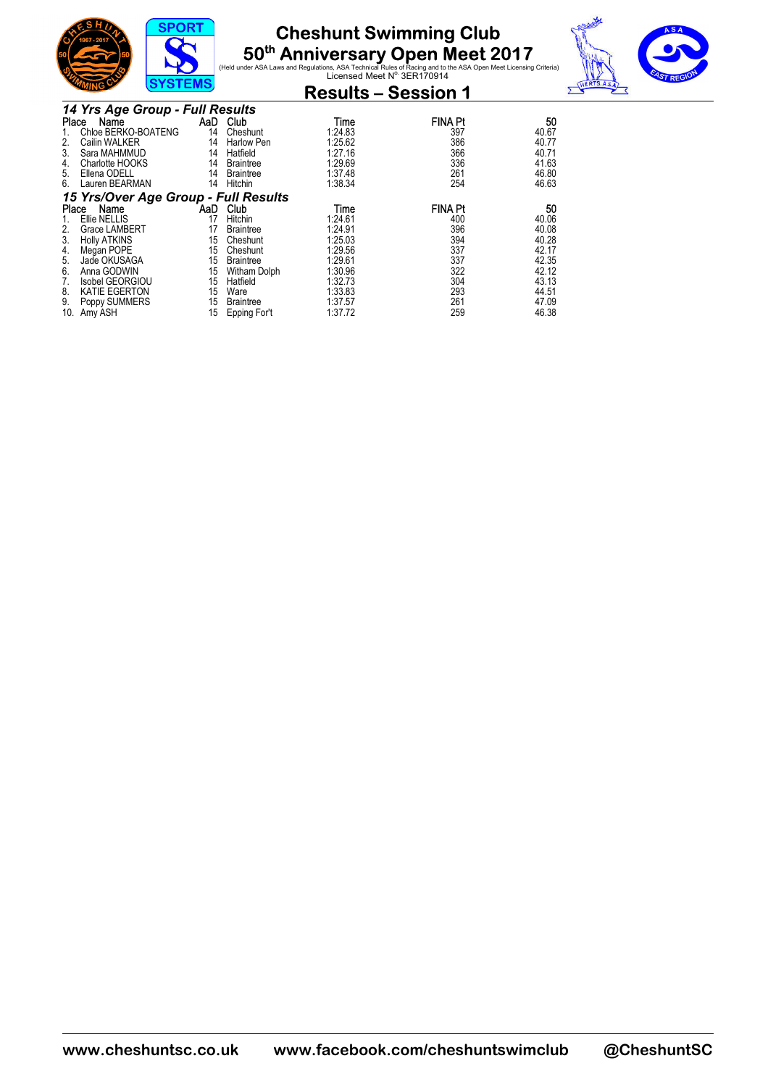





|       | טווויש                               |     |                   | <b>Results - Session 1</b> |                |       |
|-------|--------------------------------------|-----|-------------------|----------------------------|----------------|-------|
|       | 14 Yrs Age Group - Full Results      |     |                   |                            |                |       |
| Place | Name                                 |     | AaD Club          | Time                       | <b>FINA Pt</b> | 50    |
|       | Chloe BERKO-BOATENG                  | 14  | Cheshunt          | 1:24.83                    | 397            | 40.67 |
| 2.    | Cailin WALKER                        | 14  | <b>Harlow Pen</b> | 1:25.62                    | 386            | 40.77 |
| 3.    | Sara MAHMMUD                         | 14  | Hatfield          | 1:27.16                    | 366            | 40.71 |
| 4.    | Charlotte HOOKS                      | 14  | <b>Braintree</b>  | 1:29.69                    | 336            | 41.63 |
| 5.    | Ellena ODELL                         | 14  | <b>Braintree</b>  | 1:37.48                    | 261            | 46.80 |
| 6.    | Lauren BEARMAN                       | 14  | Hitchin           | 1:38.34                    | 254            | 46.63 |
|       | 15 Yrs/Over Age Group - Full Results |     |                   |                            |                |       |
| Place | Name                                 | AaD | Club              | Time                       | <b>FINA Pt</b> | 50    |
|       | Ellie NELLIS                         | 17  | Hitchin           | 1:24.61                    | 400            | 40.06 |
| 2.    | Grace LAMBERT                        | 17  | <b>Braintree</b>  | 1:24.91                    | 396            | 40.08 |
| 3.    | <b>Holly ATKINS</b>                  | 15  | Cheshunt          | 1:25.03                    | 394            | 40.28 |
| 4.    | Megan POPE                           | 15  | Cheshunt          | 1:29.56                    | 337            | 42.17 |
| 5.    | Jade OKUSAGA                         | 15  | <b>Braintree</b>  | 1:29.61                    | 337            | 42.35 |
| 6.    | Anna GODWIN                          | 15  | Witham Dolph      | 1:30.96                    | 322            | 42.12 |
| 7.    | Isobel GEORGIOU                      | 15  | Hatfield          | 1:32.73                    | 304            | 43.13 |
| 8.    | <b>KATIE EGERTON</b>                 | 15  | Ware              | 1:33.83                    | 293            | 44.51 |
| 9.    | Poppy SUMMERS                        | 15  | <b>Braintree</b>  | 1:37.57                    | 261            | 47.09 |
| 10.   | Amy ASH                              | 15  | Epping For't      | 1:37.72                    | 259            | 46.38 |

**www.cheshuntsc.co.uk www.facebook.com/cheshuntswimclub @CheshuntSC**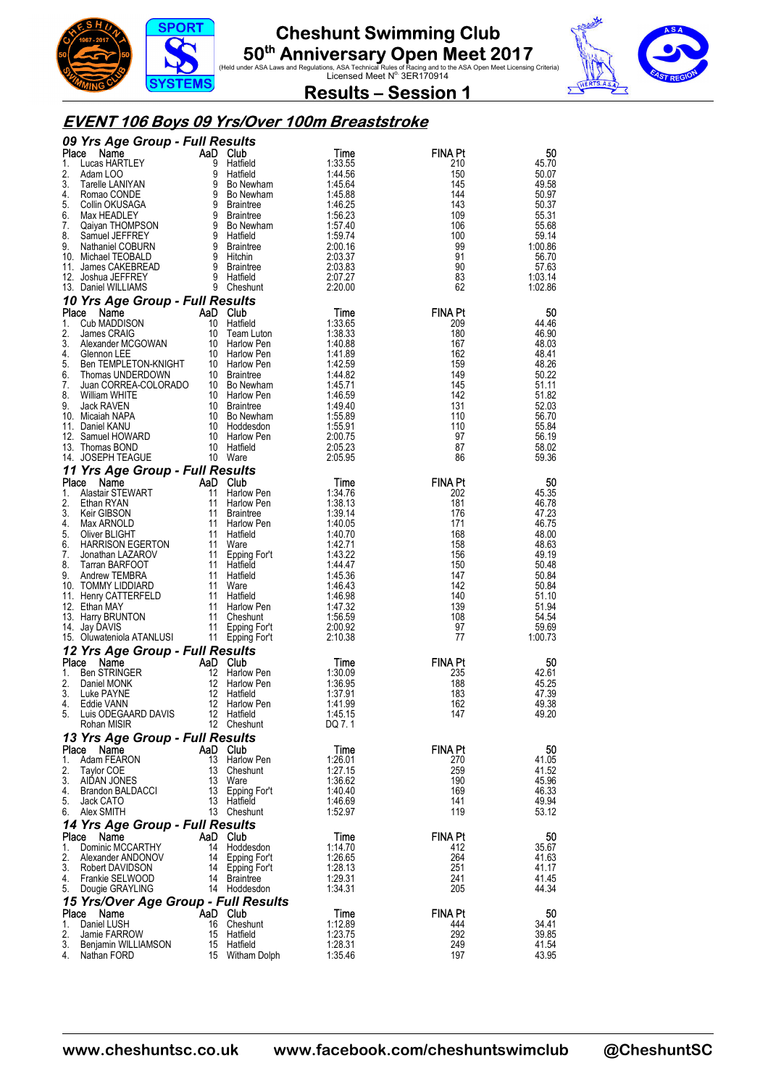





**Results – Session 1** 

#### **EVENT 106 Boys 09 Yrs/Over 100m Breaststroke**

|             | 09 Yrs Age Group - Full Results                                                      |        |                              |                    |                       |                    |
|-------------|--------------------------------------------------------------------------------------|--------|------------------------------|--------------------|-----------------------|--------------------|
| Place       | Name                                                                                 |        | AaD Club                     | Time               | <b>FINA Pt</b>        | 50                 |
| 1.<br>2.    | Lucas HARTLEY<br>Adam LOO                                                            | 9<br>9 | Hatfield<br>Hatfield         | 1:33.55<br>1:44.56 | 210<br>150            | 45.70<br>50.07     |
| 3.          | Tarelle LANIYAN                                                                      |        | 9 Bo Newham                  | 1:45.64            | 145                   | 49.58              |
| 4.          | Romao CONDE                                                                          |        | 9 Bo Newham                  | 1:45.88            | 144                   | 50.97              |
| 5.          | Collin OKUSAGA                                                                       |        | 9 Braintree                  | 1:46.25            | 143                   | 50.37              |
| 6.<br>7.    | Max HEADLEY<br>Qaiyan THOMPSON                                                       |        | 9 Braintree<br>9 Bo Newham   | 1:56.23<br>1:57.40 | 109<br>106            | 55.31<br>55.68     |
| 8.          | Samuel JEFFREY                                                                       |        | 9 Hatfield                   | 1:59.74            | 100                   | 59.14              |
| 9.          | Nathaniel COBURN                                                                     |        | 9 Braintree                  | 2:00.16            | 99                    | 1:00.86            |
|             | 10. Michael TEOBALD                                                                  |        | 9 Hitchin                    | 2:03.37            | 91                    | 56.70              |
|             | 11. James CAKEBREAD                                                                  |        | 9 Braintree                  | 2:03.83            | 90                    | 57.63              |
|             | 12. Joshua JEFFREY<br>13. Daniel WILLIAMS                                            |        | 9 Hatfield<br>9 Cheshunt     | 2:07.27<br>2:20.00 | 83<br>62              | 1:03.14<br>1:02.86 |
|             | 10 Yrs Age Group - Full Results                                                      |        |                              |                    |                       |                    |
|             | Place Name                                                                           |        | AaD Club                     | Time               | <b>FINA Pt</b>        | 50                 |
| 1.          | Cub MADDISON                                                                         |        | 10 Hatfield                  | 1:33.65            | 209                   | 44.46              |
| 2.          | James CRAIG                                                                          |        | 10 Team Luton                | 1:38.33            | 180                   | 46.90              |
| 3.<br>4.    | James Urknub<br>Alexander MCGOWAN                                                    |        | 10 Harlow Pen                | 1:40.88<br>1:41.89 | 167<br>162            | 48.03<br>48.41     |
| 5.          | Glennon LEE<br>Ben TEMPLETON-KNIGHT 10 Harlow Pen<br>Themas I INDERDOWN 10 Braintree |        |                              | 1:42.59            | 159                   | 48.26              |
| 6.          |                                                                                      |        |                              | 1:44.82            | 149                   | 50.22              |
| 7.          | Juan CORREA-COLORADO                                                                 |        | 10 Bo Newham                 | 1.45.71            | 145                   | 51.11              |
| 8.          | William WHITE                                                                        |        | 10 Harlow Pen                | 1:46.59            | 142                   | 51.82              |
| 9.          | Jack RAVEN<br>10. Micaiah NAPA                                                       |        | 10 Braintree<br>10 Bo Newham | 1.49.40<br>1:55.89 | 131<br>110            | 52.03<br>56.70     |
|             | 11. Daniel KANU                                                                      |        | 10 Hoddesdon                 | 1:55.91            | 110                   | 55.84              |
|             | 12. Samuel HOWARD                                                                    |        | 10 Harlow Pen                | 2:00.75            | 97                    | 56.19              |
|             | 13. Thomas BOND                                                                      |        | 10 Hatfield                  | 2:05.23            | 87                    | 58.02              |
|             | 14. JOSEPH TEAGUE                                                                    |        | 10 Ware                      | 2:05.95            | 86                    | 59.36              |
|             | 11 Yrs Age Group - Full Results                                                      |        |                              |                    |                       |                    |
| Place<br>1. | Name<br>Alastair STEWART                                                             | -11    | AaD Club<br>Harlow Pen       | Time<br>1:34.76    | <b>FINA Pt</b><br>202 | 50<br>45.35        |
| 2.          | Ethan RYAN                                                                           |        | 11 Harlow Pen                | 1:38.13            | 181                   | 46.78              |
| 3.          | <b>Keir GIBSON</b>                                                                   |        | 11 Braintree                 | 1:39.14            | 176                   | 47.23              |
| 4.          | Max ARNOLD                                                                           |        | 11 Harlow Pen                | 1:40.05            | 171                   | 46.75              |
| 5.          | Oliver BLIGHT                                                                        |        | 11 Hatfield                  | 1:40.70            | 168                   | 48.00              |
| 6.<br>7.    | <b>HARRISON EGERTON</b><br>Jonathan LAZAROV                                          |        | 11 Ware<br>11 Epping For't   | 1:42.71<br>1:43.22 | 158<br>156            | 48.63<br>49.19     |
| 8.          | Tarran BARFOOT                                                                       |        | 11 Hatfield                  | 1.44.47            | 150                   | 50.48              |
| 9.          | Andrew TEMBRA                                                                        |        | 11 Hatfield                  | 1:45.36            | 147                   | 50.84              |
|             | 10. TOMMY LIDDIARD                                                                   |        | 11 Ware                      | 1:46.43            | 142                   | 50.84              |
|             | 11. Henry CATTERFELD                                                                 |        | 11 Hatfield                  | 1:46.98            | 140                   | 51.10              |
|             | 12. Ethan MAY<br>13. Harry BRUNTON                                                   | 11     | 11 Harlow Pen<br>Cheshunt    | 1:47.32<br>1:56.59 | 139<br>108            | 51.94<br>54.54     |
|             | 14. Jay DAVIS                                                                        |        | 11 Epping For't              | 2:00.92            | 97                    | 59.69              |
|             | 15. Oluwateniola ATANLUSI                                                            |        | 11 Epping For't              | 2:10.38            | 77                    | 1:00.73            |
|             | 12 Yrs Age Group - Full Results                                                      |        |                              |                    |                       |                    |
| Place       | Name                                                                                 |        | AaD Club                     | Time               | <b>FINA Pt</b>        | 50                 |
| 1.<br>2.    | Ben STRINGER                                                                         | 12     | Harlow Pen<br>12 Harlow Pen  | 1:30.09            | 235<br>188            | 42.61              |
| 3.          | Daniel MONK<br>Luke PAYNE                                                            | 12     | Hatfield                     | 1:36.95<br>1:37.91 | 183                   | 45.25<br>47.39     |
| 4.          | Eddie VANN                                                                           |        | 12 Harlow Pen                | 1:41.99            | 162                   | 49.38              |
|             | 5. Luis ODEGAARD DAVIS                                                               |        | 12 Hatfield                  | 1:45.15            | 147                   | 49.20              |
|             | Rohan MISIR                                                                          |        | 12 Cheshunt                  | DQ 7.1             |                       |                    |
|             | 13 Yrs Age Group - Full Results                                                      |        |                              |                    |                       |                    |
| Place<br>1. | Name<br>Adam FEARON                                                                  |        | AaD Club<br>13 Harlow Pen    | Time<br>1:26.01    | <b>FINA Pt</b><br>270 | 50<br>41.05        |
| 2.          | Taylor COE                                                                           | 13     | Cheshunt                     | 1:27.15            | 259                   | 41.52              |
| 3.          | AIDAN JONES                                                                          |        | 13 Ware                      | 1:36.62            | 190                   | 45.96              |
| 4.          | Brandon BALDACCI                                                                     |        | 13 Epping For't              | 1:40.40            | 169                   | 46.33              |
| 5.          | Jack CATO                                                                            |        | 13 Hatfield                  | 1:46.69            | 141                   | 49.94              |
| 6.          | Alex SMITH                                                                           |        | 13 Cheshunt                  | 1:52.97            | 119                   | 53.12              |
| Place       | 14 Yrs Age Group - Full Results<br>Name                                              |        | AaD Club                     |                    | <b>FINA Pt</b>        | 50                 |
| 1.          | Dominic MCCARTHY                                                                     | 14     | Hoddesdon                    | Time<br>1:14.70    | 412                   | 35.67              |
| 2.          | Alexander ANDONOV                                                                    |        | 14 Epping For't              | 1:26.65            | 264                   | 41.63              |
| 3.          | Robert DAVIDSON                                                                      |        | 14 Epping For't              | 1:28.13            | 251                   | 41.17              |
| 4.          | Frankie SELWOOD                                                                      |        | 14 Braintree                 | 1:29.31            | 241                   | 41.45              |
| 5.          | Dougie GRAYLING                                                                      |        | 14 Hoddesdon                 | 1:34.31            | 205                   | 44.34              |
| Place       | 15 Yrs/Over Age Group - Full Results                                                 |        | AaD Club                     |                    | <b>FINA Pt</b>        | 50                 |
| 1.          | Name<br>Daniel LUSH                                                                  | 16     | Cheshunt                     | Time<br>1:12.89    | 444                   | 34.41              |
| 2.          | Jamie FARROW                                                                         | 15     | Hatfield                     | 1:23.75            | 292                   | 39.85              |
| 3.          | Benjamin WILLIAMSON                                                                  |        | 15 Hatfield                  | 1:28.31            | 249                   | 41.54              |
| 4.          | Nathan FORD                                                                          |        | 15 Witham Dolph              | 1:35.46            | 197                   | 43.95              |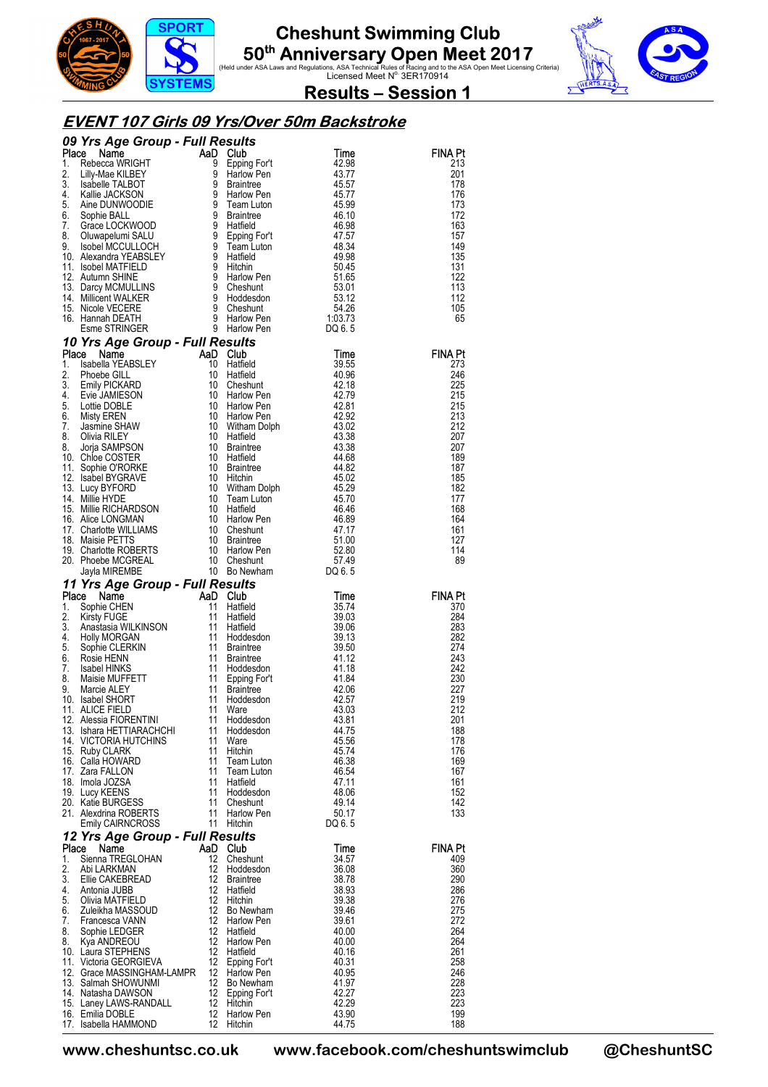





**Results – Session 1** 

#### **EVENT 107 Girls 09 Yrs/Over 50m Backstroke**

|             | 09 Yrs Age Group - Full Results                                                                                                                                                                                                                               |                               |                                  |                   |                       |
|-------------|---------------------------------------------------------------------------------------------------------------------------------------------------------------------------------------------------------------------------------------------------------------|-------------------------------|----------------------------------|-------------------|-----------------------|
| Place<br>1. | AaD<br><b>ce Name</b><br>Rebecca WRIGHT<br>Lilly-Mae KILBEY<br>Isabelle TALBOT                                                                                                                                                                                | 9                             | Club                             | Time<br>42.98     | FINA Pt<br>213        |
| 2.          |                                                                                                                                                                                                                                                               | 9                             | Epping For't<br>Harlow Pen       | 43.77             | 201                   |
| 3.          | Liny-view NLBOT<br>Isabelle TALBOT<br>Kallie JACKSON<br>Aine DUNWOODIE<br>Sophie BALL                                                                                                                                                                         | 9                             | Braintree                        | 45.57             | 178                   |
| 4.          |                                                                                                                                                                                                                                                               | 9                             | Harlow Pen                       | 45.77             | 176                   |
| 5.<br>6.    |                                                                                                                                                                                                                                                               | 9<br>9                        | Team Luton<br>Braintree          | 45.99<br>46.10    | 173<br>172            |
| 7.          | Sophie BALL<br>Grace LOCKWOOD                                                                                                                                                                                                                                 | 9                             | Hatfield                         | 46.98             | 163                   |
| 8.          | Oluwapelumi SALU                                                                                                                                                                                                                                              |                               |                                  | 47.57             | 157                   |
| 9.          | Isobel MCCULLOCH<br>Fram Luton<br>9 Hatfield<br>9 Hichin<br>9 Harlow Pen<br>9 Cheshunt<br>9 Hoddesdon<br>9 Cheshunt<br>9 Harlow Pen<br>7 Contribute                                                                                                           |                               | 9 Epping For't<br>9 Team Luton   | 48.34             | 149                   |
|             | 10. Alexandra YEABSLEY                                                                                                                                                                                                                                        |                               |                                  | 49.98             | 135                   |
|             | 11. Isobel MATFIELD<br>12. Autumn SHINE                                                                                                                                                                                                                       |                               |                                  | 50.45<br>51.65    | 131<br>122            |
|             | 13. Darcy MCMULLINS                                                                                                                                                                                                                                           |                               |                                  | 53.01             | 113                   |
|             | 14. Millicent WALKER                                                                                                                                                                                                                                          |                               |                                  | 53.12             | 112                   |
|             | 15. Nicole VECERE                                                                                                                                                                                                                                             |                               |                                  | 54.26             | 105                   |
|             | 16. Hannah DEATH<br>Esme STRINGER                                                                                                                                                                                                                             |                               |                                  | 1:03.73<br>DQ 6.5 | 65                    |
|             | 10 Yrs Age Group - Full Results                                                                                                                                                                                                                               |                               |                                  |                   |                       |
| Place       | Name                                                                                                                                                                                                                                                          | AaD                           | Club                             | Time              | <b>FINA Pt</b>        |
| 1.          | Isabella YEABSLEY                                                                                                                                                                                                                                             | 10                            | Hatfield                         | 39.55             | 273                   |
| 2.          | Phoebe GILL                                                                                                                                                                                                                                                   | 10                            | Hatfield                         | 40.96             | 246                   |
| 3.<br>4.    | <b>Emily PICKARD</b><br>Evie JAMIESON                                                                                                                                                                                                                         | 10<br>10                      | Cheshunt<br>Harlow Pen           | 42.18<br>42.79    | 225<br>215            |
| 5.          | Lottie DOBLE                                                                                                                                                                                                                                                  | 10                            | <b>Harlow Pen</b>                | 42.81             | 215                   |
| 6.          | Lottie DOBLE<br>Misty EREN<br>Jasmine SHAW                                                                                                                                                                                                                    | 10                            | <b>Harlow Pen</b>                | 42.92             | 213                   |
| 7.          |                                                                                                                                                                                                                                                               | 10                            | Witham Dolph                     | 43.02             | 212                   |
| 8.<br>8.    | Olivia RILEY                                                                                                                                                                                                                                                  | 10<br>10                      | Hatfield<br>Braintree            | 43.38<br>43.38    | 207<br>207            |
|             | Jorja SAMPSON<br>10. Chloe COSTER                                                                                                                                                                                                                             | 10                            | Hatfield                         | 44.68             | 189                   |
|             |                                                                                                                                                                                                                                                               | 10                            | Braintree                        | 44.82             | 187                   |
|             |                                                                                                                                                                                                                                                               | 10                            | Hitchin                          | 45.02             | 185                   |
|             | NORKE<br>13. Lucy BYFORD<br>14. Millie HYDE<br>15. Millie Prov                                                                                                                                                                                                | 10                            | Witham Dolph                     | 45.29             | 182                   |
|             |                                                                                                                                                                                                                                                               | 10                            | Team Luton                       | 45.70<br>46.46    | 177<br>168            |
|             |                                                                                                                                                                                                                                                               |                               |                                  | 46.89             | 164                   |
|             |                                                                                                                                                                                                                                                               |                               |                                  | 47.17             | 161                   |
|             |                                                                                                                                                                                                                                                               |                               |                                  | 51.00             | 127                   |
|             |                                                                                                                                                                                                                                                               |                               |                                  | 52.80<br>57.49    | 114<br>89             |
|             | 14. Millie RICHARDSON<br>10 Haffield<br>10 Haffield<br>10 Haffield<br>10 Haffield<br>10 Haffield<br>10 Cheshunt<br>10 Cheshunt<br>10 Braintree<br>10 Braintree<br>10 Braintree<br>20 Phoebe MCGREAL<br>20 Note MCGREAL<br>10 Braintree<br>20 Note MCGREAL<br> |                               |                                  | DQ 6.5            |                       |
|             |                                                                                                                                                                                                                                                               |                               |                                  |                   |                       |
|             |                                                                                                                                                                                                                                                               |                               |                                  |                   |                       |
| Place       | 11 Yrs Age Group - Full Results<br>Name                                                                                                                                                                                                                       |                               | Club                             | Time              | <b>FINA Pt</b>        |
| 1.          | Sophie CHEN                                                                                                                                                                                                                                                   |                               | Hatfield                         | 35.74             | 370                   |
| 2.          | AaD<br><b>Kirsty FUGE</b>                                                                                                                                                                                                                                     |                               | Hatfield                         | 39.03             | 284                   |
| 3.<br>4.    | Anastasia WILKINSON<br><b>Holly MORGAN</b>                                                                                                                                                                                                                    |                               | Hatfield<br>Hoddesdon            | 39.06<br>39.13    | 283<br>282            |
| 5.          | Sophie CLERKIN                                                                                                                                                                                                                                                |                               | <b>Braintree</b>                 | 39.50             | 274                   |
| 6.          | $\begin{array}{c}\n \stackrel{\rightarrow}{\mathbf{11}} \\  \hline\n 11 \\  \hline\n 11 \\  \hline\n 11\n \end{array}$<br>Rosie HENN                                                                                                                          | 11                            | <b>Braintree</b>                 | 41.12             | 243                   |
| 7.          | <b>Isabel HINKS</b>                                                                                                                                                                                                                                           | 11                            | Hoddesdon                        | 41.18             | 242                   |
| 8.<br>9.    | Maisie MUFFETT<br>Marcie ALEY                                                                                                                                                                                                                                 | 11<br>11                      | Epping For't<br><b>Braintree</b> | 41.84<br>42.06    | 230<br>227            |
|             | 10. Isabel SHORT                                                                                                                                                                                                                                              | 11                            | Hoddesdon                        | 42.57             | 219                   |
|             | 11. ALICE FIELD                                                                                                                                                                                                                                               | 11                            | Ware                             | 43.03             | 212                   |
|             | 12. Alessia FIORENTINI                                                                                                                                                                                                                                        | 11                            | Hoddesdon                        | 43.81             | 201                   |
|             | 13. Ishara HETTIARACHCHI<br>14. VICTORIA HUTCHINS                                                                                                                                                                                                             | 11<br>11                      | Hoddesdon<br>Ware                | 44.75<br>45.56    | 188<br>178            |
|             | 15. Ruby CLARK                                                                                                                                                                                                                                                | 11                            | Hitchin                          | 45.74             | 176                   |
|             | 16. Calla HOWARD                                                                                                                                                                                                                                              | 11                            | Team Luton                       | 46.38             | 169                   |
|             | 17. Zara FALLON                                                                                                                                                                                                                                               | 11                            | Team Luton                       | 46.54             | 167                   |
|             | 18. Imola JOZSA<br>19. Lucy KEENS                                                                                                                                                                                                                             | 11<br>11                      | Hatfield<br>Hoddesdon            | 47.11<br>48.06    | 161<br>152            |
|             | 20. Katie BURGESS                                                                                                                                                                                                                                             | 11                            | Cheshunt                         | 49.14             | 142                   |
|             | 21. Alexdrina ROBERTS                                                                                                                                                                                                                                         | 11                            | Harlow Pen                       | 50.17             | 133                   |
|             | <b>Emily CAIRNCROSS</b>                                                                                                                                                                                                                                       | 11                            | Hitchin                          | DQ 6.5            |                       |
|             | 12 Yrs Age Group - Full Results                                                                                                                                                                                                                               |                               |                                  |                   |                       |
| Place<br>1. | Name<br>Sienna TREGLOHAN                                                                                                                                                                                                                                      | 12                            | AaD Club<br>Cheshunt             | Time<br>34.57     | <b>FINA Pt</b><br>409 |
| 2.          | Abi LARKMAN                                                                                                                                                                                                                                                   | 12                            | Hoddesdon                        | 36.08             | 360                   |
| 3.          | Ellie CAKEBREAD                                                                                                                                                                                                                                               | $12 \overline{ }$             | <b>Braintree</b>                 | 38.78             | 290                   |
| 4.<br>5.    | Antonia JUBB                                                                                                                                                                                                                                                  | 12<br>$12 \overline{ }$       | Hatfield                         | 38.93             | 286                   |
| 6.          | Olivia MATFIELD<br>Zuleikha MASSOUD                                                                                                                                                                                                                           | $12 \overline{ }$             | Hitchin<br>Bo Newham             | 39.38<br>39.46    | 276<br>275            |
| 7.          | Francesca VANN                                                                                                                                                                                                                                                | 12                            | Harlow Pen                       | 39.61             | 272                   |
| 8.          | Sophie LEDGER                                                                                                                                                                                                                                                 | $12 \overline{ }$             | Hatfield                         | 40.00             | 264                   |
| 8.          | Kya ANDREOU                                                                                                                                                                                                                                                   | $12 \overline{ }$<br>12       | Harlow Pen                       | 40.00             | 264                   |
|             | 10. Laura STEPHENS<br>11. Victoria GEORGIEVA                                                                                                                                                                                                                  | 12                            | Hatfield<br>Epping For't         | 40.16<br>40.31    | 261<br>258            |
|             | 12. Grace MASSINGHAM-LAMPR                                                                                                                                                                                                                                    | $12 \overline{ }$             | Harlow Pen                       | 40.95             | 246                   |
|             | 13. Salmah SHOWUNMI                                                                                                                                                                                                                                           | 12                            | Bo Newham                        | 41.97             | 228                   |
|             | 14. Natasha DAWSON                                                                                                                                                                                                                                            | $12 \overline{ }$             | Epping For't                     | 42.27             | 223                   |
|             | 15. Laney LAWS-RANDALL<br>16. Emilia DOBLE                                                                                                                                                                                                                    | 12<br>12<br>$12 \overline{ }$ | Hitchin<br>Harlow Pen            | 42.29<br>43.90    | 223<br>199<br>188     |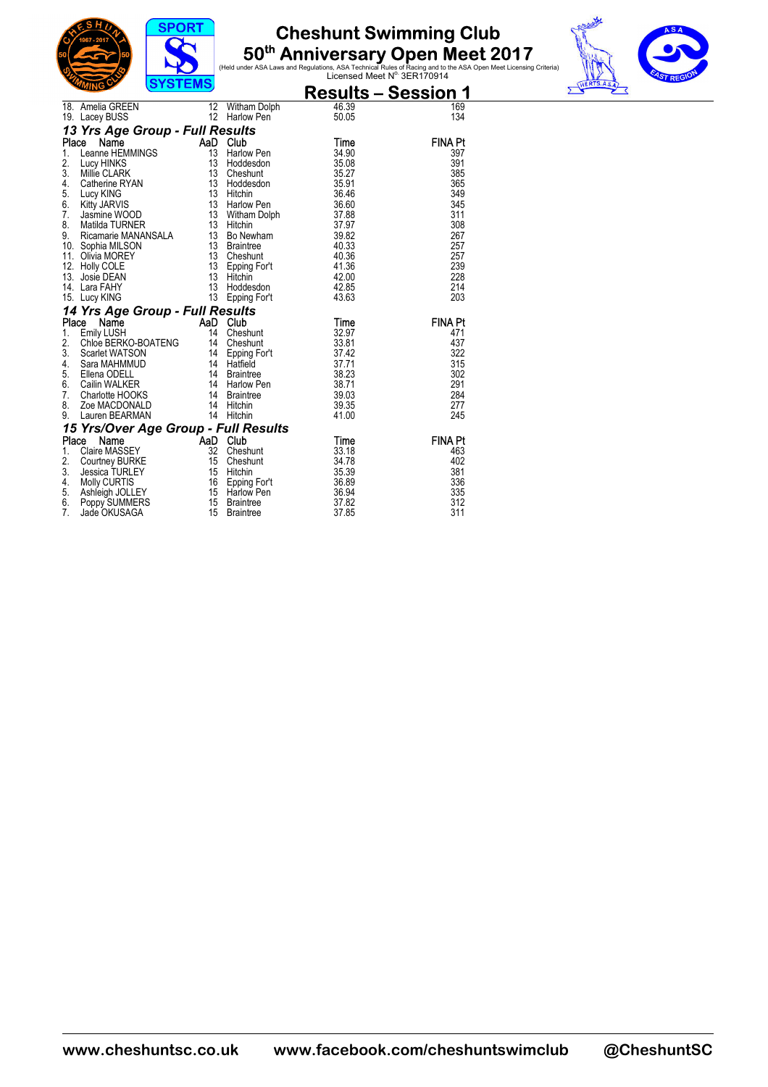





|                                      | ,,,,,,,,,                                                                                                                                                                                                                                      |                       |                              |                | <u> Results – Session 1</u> |  |
|--------------------------------------|------------------------------------------------------------------------------------------------------------------------------------------------------------------------------------------------------------------------------------------------|-----------------------|------------------------------|----------------|-----------------------------|--|
|                                      | 18. Amelia GREEN                                                                                                                                                                                                                               | 12                    | Witham Dolph                 | 46.39          | 169                         |  |
|                                      | 19. Lacey BUSS                                                                                                                                                                                                                                 | 12                    | Harlow Pen                   | 50.05          | 134                         |  |
|                                      | 13 Yrs Age Group - Full Results                                                                                                                                                                                                                |                       |                              |                |                             |  |
|                                      | Name<br>Place                                                                                                                                                                                                                                  | AaD Club              |                              | Time           | <b>FINA Pt</b>              |  |
| $1_{-}$                              | Leanne HEMMINGS                                                                                                                                                                                                                                | 13                    | Harlow Pen                   | 34.90          | 397                         |  |
| 2.                                   | Lucy HINKS                                                                                                                                                                                                                                     | 13                    | Hoddesdon                    | 35.08          | 391                         |  |
| 3.                                   | Millie CLARK                                                                                                                                                                                                                                   | 13                    | Cheshunt                     | 35.27          | 385                         |  |
| 4.<br>5.                             | Catherine RYAN                                                                                                                                                                                                                                 | 13 <sup>7</sup>       | Hoddesdon                    | 35.91          | 365                         |  |
| 6.                                   | Lucy KING<br><b>Kitty JARVIS</b>                                                                                                                                                                                                               | 13 <sup>7</sup><br>13 | Hitchin<br>Harlow Pen        | 36.46<br>36.60 | 349<br>345                  |  |
| 7.                                   | Jasmine WOOD                                                                                                                                                                                                                                   |                       | Witham Dolph                 | 37.88          | 311                         |  |
| 8.                                   |                                                                                                                                                                                                                                                | $\frac{13}{12}$       |                              | 37.97          | 308                         |  |
| 9.                                   |                                                                                                                                                                                                                                                |                       |                              | 39.82          | 267                         |  |
|                                      | Musical MacMANINER<br>Ricamarie MANANSALA<br>Sophia MILSON<br>Sophia MILSON<br>Sophia MOREY<br>Olivia MOREY<br>13 Cheshunt<br>Holly COLE<br>13 Cheshunt<br>Josie DEAN<br>13 Epping For't<br>Josie DEAN<br>12 Epping For't<br>10. Sophia MILSON |                       |                              | 40.33          | 257                         |  |
| 11.                                  |                                                                                                                                                                                                                                                |                       |                              | 40.36          | 257                         |  |
|                                      | 12. Holly COLE                                                                                                                                                                                                                                 |                       | Epping For't                 | 41.36          | 239                         |  |
| 13.                                  |                                                                                                                                                                                                                                                |                       |                              | 42.00          | 228                         |  |
|                                      | 14. Lara FAHY                                                                                                                                                                                                                                  | 13                    | Hoddesdon                    | 42.85          | 214                         |  |
|                                      | 15. Lucy KING                                                                                                                                                                                                                                  | 13                    | Epping For't                 | 43.63          | 203                         |  |
|                                      | 14 Yrs Age Group - Full Results                                                                                                                                                                                                                |                       |                              |                |                             |  |
|                                      | Place<br>Name                                                                                                                                                                                                                                  | AaD Club              |                              | Time           | <b>FINA Pt</b>              |  |
| 1.                                   | <b>Emily LUSH</b>                                                                                                                                                                                                                              | $\overline{14}$       | Cheshunt                     | 32.97          | 471                         |  |
| 2.                                   | Chloe BERKO-BOATENG 14                                                                                                                                                                                                                         |                       | Cheshunt                     | 33.81          | 437                         |  |
| 3.                                   |                                                                                                                                                                                                                                                | 14                    | Epping For't                 | 37.42          | 322                         |  |
| 4.<br>5.                             | Scarlet WATSON<br>Scarlet WATSON<br>Filena ODELL 14                                                                                                                                                                                            | 14                    | Hatfield<br><b>Braintree</b> | 37.71<br>38.23 | 315<br>302                  |  |
| 6.                                   | Cailin WALKER                                                                                                                                                                                                                                  | 14                    | Harlow Pen                   | 38.71          | 291                         |  |
| $\overline{7}$ .                     | Charlotte HOOKS                                                                                                                                                                                                                                | 14                    | <b>Braintree</b>             | 39.03          | 284                         |  |
| 8.                                   | Zoe MACDONALD                                                                                                                                                                                                                                  | 14                    | Hitchin                      | 39.35          | 277                         |  |
| 9.                                   | Lauren BEARMAN                                                                                                                                                                                                                                 |                       | 14 Hitchin                   | 41.00          | 245                         |  |
| 15 Yrs/Over Age Group - Full Results |                                                                                                                                                                                                                                                |                       |                              |                |                             |  |
| Place                                | Name                                                                                                                                                                                                                                           | AaD Club              |                              | Time           | <b>FINA Pt</b>              |  |
| 1.                                   | Claire MASSEY                                                                                                                                                                                                                                  | 32                    | Cheshunt                     | 33.18          | 463                         |  |
| 2.                                   | Courtney BURKE                                                                                                                                                                                                                                 | 15                    | Cheshunt                     | 34.78          | 402                         |  |
| 3.                                   | <b>Jessica TURLEY</b>                                                                                                                                                                                                                          | 15                    | Hitchin                      | 35.39          | 381                         |  |
| 4.                                   | Molly CURTIS                                                                                                                                                                                                                                   | 16                    | Epping For't                 | 36.89          | 336                         |  |
| 5.                                   | Ashleigh JOLLEY                                                                                                                                                                                                                                | 15                    | Harlow Pen                   | 36.94          | 335                         |  |
| 6.                                   | Poppy SUMMERS                                                                                                                                                                                                                                  | 15                    | <b>Braintree</b>             | 37.82          | 312                         |  |
| 7.                                   | Jade OKUSAGA                                                                                                                                                                                                                                   | 15                    | <b>Braintree</b>             | 37.85          | 311                         |  |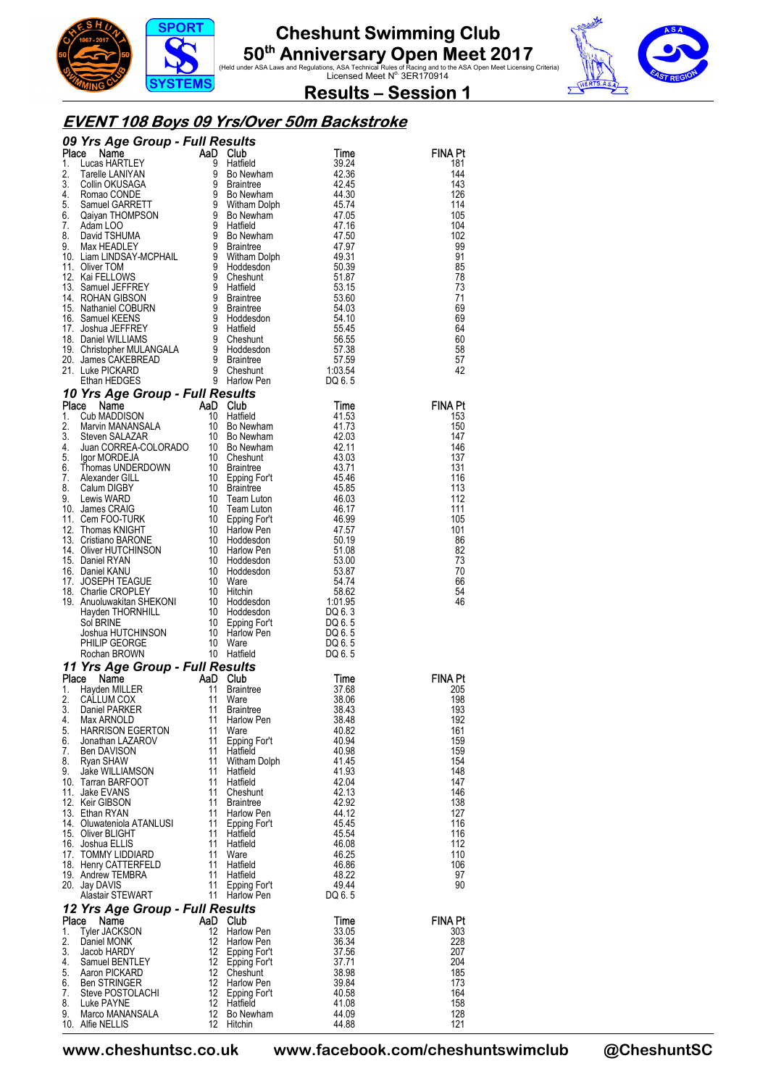





**Results – Session 1** 

#### **EVENT 108 Boys 09 Yrs/Over 50m Backstroke**

|          | <b>CO Particle COUP - Full Results</b><br>1. Lucas HARTLEY<br>1. Lucas HARTLEY<br>1. Lucas HARTLEY<br>1. Lucas HARTLEY<br>2. Tarelle LANIYAN 9 Bol Newham<br>4.2.36<br>3. Collin OKUSAGA<br>4. Roman CONDE<br>5. Samuel GARRETT<br>6. Qaiyan THOMPSON<br> |          |                                  |                 |                |
|----------|-----------------------------------------------------------------------------------------------------------------------------------------------------------------------------------------------------------------------------------------------------------|----------|----------------------------------|-----------------|----------------|
|          |                                                                                                                                                                                                                                                           |          |                                  |                 | <b>FINA Pt</b> |
|          |                                                                                                                                                                                                                                                           |          |                                  |                 | 181            |
|          |                                                                                                                                                                                                                                                           |          |                                  |                 | 144            |
|          |                                                                                                                                                                                                                                                           |          |                                  |                 | 143<br>126     |
|          |                                                                                                                                                                                                                                                           |          |                                  |                 | 114            |
|          |                                                                                                                                                                                                                                                           |          |                                  |                 | 105            |
|          |                                                                                                                                                                                                                                                           |          |                                  |                 | 104            |
|          |                                                                                                                                                                                                                                                           |          |                                  |                 | 102<br>99      |
|          |                                                                                                                                                                                                                                                           |          |                                  |                 | 91             |
|          |                                                                                                                                                                                                                                                           |          |                                  |                 | 85             |
|          |                                                                                                                                                                                                                                                           |          |                                  |                 | 78             |
|          |                                                                                                                                                                                                                                                           |          |                                  |                 | 73<br>71       |
|          |                                                                                                                                                                                                                                                           |          |                                  |                 | 69             |
|          |                                                                                                                                                                                                                                                           |          |                                  |                 | 69             |
|          |                                                                                                                                                                                                                                                           |          |                                  |                 | 64             |
|          |                                                                                                                                                                                                                                                           |          |                                  |                 | 60             |
|          |                                                                                                                                                                                                                                                           |          |                                  |                 | 58<br>57       |
|          |                                                                                                                                                                                                                                                           |          |                                  |                 | 42             |
|          |                                                                                                                                                                                                                                                           |          |                                  |                 |                |
|          | 21. Lunder Howards 9 Stephann HEDGES<br><b>10 Yrs Age Group - Full Results</b><br><b>10 Yrs Age Group - Full Results</b><br>10 G6.5<br>10 Machine MADDISON 10 Haffield<br>1. Cub MADDISON 10 Bo Newham<br>4. Juan CORREA-COLORADO 10 Bo Newham<br>4. J    |          |                                  |                 |                |
|          |                                                                                                                                                                                                                                                           |          |                                  |                 | <b>FINA Pt</b> |
|          |                                                                                                                                                                                                                                                           |          |                                  |                 | 153            |
|          |                                                                                                                                                                                                                                                           |          |                                  |                 | 150<br>147     |
|          |                                                                                                                                                                                                                                                           |          |                                  |                 | 146            |
|          |                                                                                                                                                                                                                                                           |          |                                  |                 | 137            |
|          |                                                                                                                                                                                                                                                           |          |                                  |                 | 131            |
|          |                                                                                                                                                                                                                                                           |          |                                  |                 | 116<br>113     |
|          |                                                                                                                                                                                                                                                           |          |                                  |                 | 112            |
|          |                                                                                                                                                                                                                                                           |          |                                  |                 | 111            |
|          |                                                                                                                                                                                                                                                           |          |                                  |                 | 105            |
|          |                                                                                                                                                                                                                                                           |          |                                  |                 | 101            |
|          |                                                                                                                                                                                                                                                           |          |                                  |                 | 86<br>82       |
|          |                                                                                                                                                                                                                                                           |          |                                  |                 | 73             |
|          |                                                                                                                                                                                                                                                           |          |                                  |                 | 70             |
|          |                                                                                                                                                                                                                                                           |          |                                  |                 | 66             |
|          |                                                                                                                                                                                                                                                           |          |                                  |                 | 54<br>46       |
|          |                                                                                                                                                                                                                                                           |          |                                  |                 |                |
|          |                                                                                                                                                                                                                                                           |          |                                  |                 |                |
|          |                                                                                                                                                                                                                                                           |          |                                  |                 |                |
|          |                                                                                                                                                                                                                                                           |          |                                  |                 |                |
|          | 11 Yrs Age Group - Full Results                                                                                                                                                                                                                           |          |                                  |                 |                |
|          | $R = 1000 \text{ AAD Club}$ $11 \text{ Naint}$ $R = 11 \text{ Naint}$ $R = 14 \text{ Drint}$<br>Place Name                                                                                                                                                |          |                                  | Time            | <b>FINA Pt</b> |
| 1.       | Hayden MILLER                                                                                                                                                                                                                                             |          |                                  | 37.68           | 205            |
| 2.       | CALLUM COX                                                                                                                                                                                                                                                |          | Braintree<br>Ware<br>Preintree   | 38.06           | 198            |
| 3.       | Daniel PARKER                                                                                                                                                                                                                                             | $-11$    | Braintree                        | 38.43           | 193            |
| 4.<br>5. | Max ARNOLD<br><b>HARRISON EGERTON</b>                                                                                                                                                                                                                     | 11<br>11 | Harlow Pen<br>Ware               | 38.48<br>40.82  | 192<br>161     |
|          | 6. Jonathan LAZAROV                                                                                                                                                                                                                                       | 11       | Epping For't                     | 40.94           | 159            |
| 7.       | Ben DAVISON                                                                                                                                                                                                                                               | 11       | Hatfield                         | 40.98           | 159            |
| 8.       | Ryan SHAW                                                                                                                                                                                                                                                 |          | 11 Witham Dolph                  | 41.45           | 154            |
|          | 9. Jake WILLIAMSON<br>10. Tarran BARFOOT                                                                                                                                                                                                                  | 11       | 11 Hatfield<br>Hatfield          | 41.93<br>42.04  | 148<br>147     |
|          | 11. Jake EVANS                                                                                                                                                                                                                                            |          | 11 Cheshunt                      | 42.13           | 146            |
|          | 12. Keir GIBSON                                                                                                                                                                                                                                           |          | 11 Braintree                     | 42.92           | 138            |
|          | 13. Ethan RYAN                                                                                                                                                                                                                                            | 11       | Harlow Pen                       | 44.12           | 127            |
|          | 14. Oluwateniola ATANLUSI<br>15. Oliver BLIGHT                                                                                                                                                                                                            |          | 11 Epping For't<br>11 Hatfield   | 45.45<br>45.54  | 116<br>116     |
|          | 16. Joshua ELLIS                                                                                                                                                                                                                                          | 11       | Hatfield                         | 46.08           | 112            |
|          | 17. TOMMY LIDDIARD                                                                                                                                                                                                                                        |          | 11 Ware                          | 46.25           | 110            |
|          | 18. Henry CATTERFELD                                                                                                                                                                                                                                      |          | 11 Hatfield                      | 46.86           | 106            |
|          | 19. Andrew TEMBRA                                                                                                                                                                                                                                         | 11       | Hatfield                         | 48.22           | 97             |
|          | 20. Jay DAVIS<br>Alastair STEWART                                                                                                                                                                                                                         |          | 11 Epping For't<br>11 Harlow Pen | 49.44<br>DQ 6.5 | 90             |
|          | 12 Yrs Age Group - Full Results                                                                                                                                                                                                                           |          |                                  |                 |                |
|          | Place<br>Name                                                                                                                                                                                                                                             | AaD Club |                                  | Time            | <b>FINA Pt</b> |
| 1.       | <b>Tyler JACKSON</b>                                                                                                                                                                                                                                      | 12       | Harlow Pen                       | 33.05           | 303            |
| 2.       | Daniel MONK                                                                                                                                                                                                                                               | 12       | Harlow Pen                       | 36.34           | 228            |
| 3.       | Jacob HARDY                                                                                                                                                                                                                                               | 12       | Epping For't                     | 37.56           | 207            |
| 4.<br>5. | Samuel BENTLEY<br>Aaron PICKARD                                                                                                                                                                                                                           | 12<br>12 | Epping For't<br>Cheshunt         | 37.71<br>38.98  | 204<br>185     |
| 6.       | Ben STRINGER                                                                                                                                                                                                                                              | 12       | Harlow Pen                       | 39.84           | 173            |
| 7.       | Steve POSTOLACHI                                                                                                                                                                                                                                          | 12       | Epping For't                     | 40.58           | 164            |
| 8.       | Luke PAYNE                                                                                                                                                                                                                                                | 12       | Hatfield                         | 41.08           | 158            |
| 9.       | Marco MANANSALA<br>10. Alfie NELLIS                                                                                                                                                                                                                       | 12<br>12 | Bo Newham<br>Hitchin             | 44.09<br>44.88  | 128<br>121     |
|          |                                                                                                                                                                                                                                                           |          |                                  |                 |                |